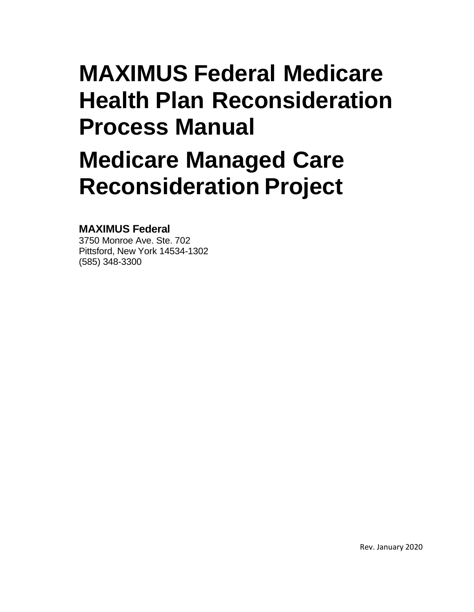# **MAXIMUS Federal Medicare Health Plan Reconsideration Process Manual**

# **Medicare Managed Care Reconsideration Project**

# **MAXIMUS Federal**

3750 Monroe Ave. Ste. 702 Pittsford, New York 14534-1302 (585) 348-3300

Rev. January 2020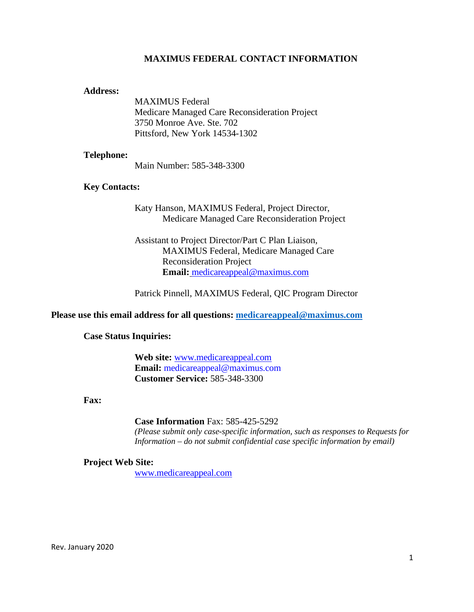#### **MAXIMUS FEDERAL CONTACT INFORMATION**

#### **Address:**

MAXIMUS Federal Medicare Managed Care Reconsideration Project 3750 Monroe Ave. Ste. 702 Pittsford, New York 14534-1302

#### **Telephone:**

Main Number: 585-348-3300

#### **Key Contacts:**

Katy Hanson, MAXIMUS Federal, Project Director, Medicare Managed Care Reconsideration Project

Assistant to Project Director/Part C Plan Liaison, MAXIMUS Federal, Medicare Managed Care Reconsideration Project **Email:** [medicareappeal@maximus.com](mailto:medicareappeal@maximus.com)

Patrick Pinnell, MAXIMUS Federal, QIC Program Director

#### **Please use this email address for all questions: [medicareappeal@maximus.com](mailto:medicareappeal@maximus.com)**

#### **Case Status Inquiries:**

**Web site:** <www.medicareappeal.com> **Email:** [medicareappeal@maxim](mailto:medicareappeal@maxim)us.com **Customer Service:** 585-348-3300

#### **Fax:**

**Case Information** Fax: 585-425-5292

*(Please submit only case-specific information, such as responses to Requests for Information – do not submit confidential case specific information by email)*

#### **Project Web Site:**

<www.medicareappeal.com>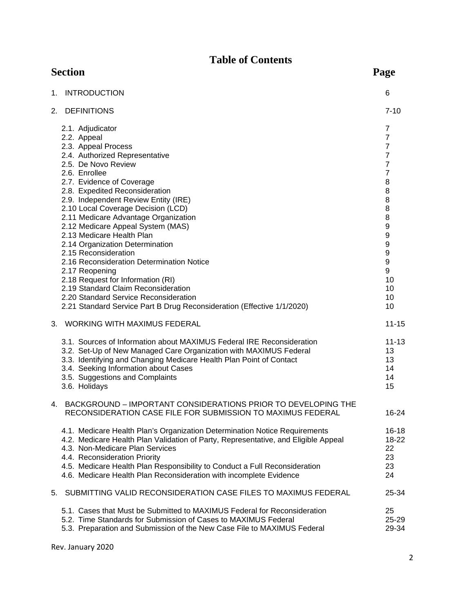# **Table of Contents**

|    | <b>Section</b>                                                                                                                                                                                                                                                                                                                                                                                                                                                                                                                                                                                                                                                                                                   | Page                                                                                                                                                                       |
|----|------------------------------------------------------------------------------------------------------------------------------------------------------------------------------------------------------------------------------------------------------------------------------------------------------------------------------------------------------------------------------------------------------------------------------------------------------------------------------------------------------------------------------------------------------------------------------------------------------------------------------------------------------------------------------------------------------------------|----------------------------------------------------------------------------------------------------------------------------------------------------------------------------|
| 1. | <b>INTRODUCTION</b>                                                                                                                                                                                                                                                                                                                                                                                                                                                                                                                                                                                                                                                                                              | 6                                                                                                                                                                          |
|    | 2. DEFINITIONS                                                                                                                                                                                                                                                                                                                                                                                                                                                                                                                                                                                                                                                                                                   | $7 - 10$                                                                                                                                                                   |
|    | 2.1. Adjudicator<br>2.2. Appeal<br>2.3. Appeal Process<br>2.4. Authorized Representative<br>2.5. De Novo Review<br>2.6. Enrollee<br>2.7. Evidence of Coverage<br>2.8. Expedited Reconsideration<br>2.9. Independent Review Entity (IRE)<br>2.10 Local Coverage Decision (LCD)<br>2.11 Medicare Advantage Organization<br>2.12 Medicare Appeal System (MAS)<br>2.13 Medicare Health Plan<br>2.14 Organization Determination<br>2.15 Reconsideration<br>2.16 Reconsideration Determination Notice<br>2.17 Reopening<br>2.18 Request for Information (RI)<br>2.19 Standard Claim Reconsideration<br>2.20 Standard Service Reconsideration<br>2.21 Standard Service Part B Drug Reconsideration (Effective 1/1/2020) | 7<br>$\overline{7}$<br>$\overline{7}$<br>$\overline{7}$<br>$\overline{7}$<br>$\overline{7}$<br>8<br>8<br>8<br>8<br>8<br>9<br>9<br>9<br>9<br>9<br>9<br>10<br>10<br>10<br>10 |
|    | 3. WORKING WITH MAXIMUS FEDERAL                                                                                                                                                                                                                                                                                                                                                                                                                                                                                                                                                                                                                                                                                  | $11 - 15$                                                                                                                                                                  |
|    | 3.1. Sources of Information about MAXIMUS Federal IRE Reconsideration<br>3.2. Set-Up of New Managed Care Organization with MAXIMUS Federal<br>3.3. Identifying and Changing Medicare Health Plan Point of Contact<br>3.4. Seeking Information about Cases<br>3.5. Suggestions and Complaints<br>3.6. Holidays                                                                                                                                                                                                                                                                                                                                                                                                    | $11 - 13$<br>13<br>13<br>14<br>14<br>15                                                                                                                                    |
| 4. | BACKGROUND - IMPORTANT CONSIDERATIONS PRIOR TO DEVELOPING THE<br>RECONSIDERATION CASE FILE FOR SUBMISSION TO MAXIMUS FEDERAL                                                                                                                                                                                                                                                                                                                                                                                                                                                                                                                                                                                     | 16-24                                                                                                                                                                      |
|    | 4.1. Medicare Health Plan's Organization Determination Notice Requirements<br>4.2. Medicare Health Plan Validation of Party, Representative, and Eligible Appeal<br>4.3. Non-Medicare Plan Services<br>4.4. Reconsideration Priority<br>4.5. Medicare Health Plan Responsibility to Conduct a Full Reconsideration<br>4.6. Medicare Health Plan Reconsideration with incomplete Evidence                                                                                                                                                                                                                                                                                                                         | $16 - 18$<br>$18 - 22$<br>22<br>23<br>23<br>24                                                                                                                             |
| 5. | SUBMITTING VALID RECONSIDERATION CASE FILES TO MAXIMUS FEDERAL                                                                                                                                                                                                                                                                                                                                                                                                                                                                                                                                                                                                                                                   | 25-34                                                                                                                                                                      |
|    | 5.1. Cases that Must be Submitted to MAXIMUS Federal for Reconsideration<br>5.2. Time Standards for Submission of Cases to MAXIMUS Federal<br>5.3. Preparation and Submission of the New Case File to MAXIMUS Federal                                                                                                                                                                                                                                                                                                                                                                                                                                                                                            | 25<br>25-29<br>29-34                                                                                                                                                       |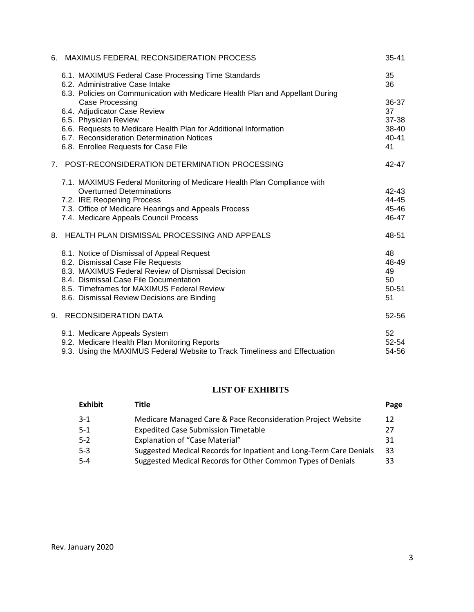| 6. | MAXIMUS FEDERAL RECONSIDERATION PROCESS                                       | $35 - 41$ |
|----|-------------------------------------------------------------------------------|-----------|
|    | 6.1. MAXIMUS Federal Case Processing Time Standards                           | 35        |
|    | 6.2. Administrative Case Intake                                               | 36        |
|    | 6.3. Policies on Communication with Medicare Health Plan and Appellant During |           |
|    | Case Processing                                                               | 36-37     |
|    | 6.4. Adjudicator Case Review                                                  | 37        |
|    | 6.5. Physician Review                                                         | 37-38     |
|    | 6.6. Requests to Medicare Health Plan for Additional Information              | 38-40     |
|    | 6.7. Reconsideration Determination Notices                                    | $40 - 41$ |
|    | 6.8. Enrollee Requests for Case File                                          | 41        |
|    | 7. POST-RECONSIDERATION DETERMINATION PROCESSING                              | 42-47     |
|    | 7.1. MAXIMUS Federal Monitoring of Medicare Health Plan Compliance with       |           |
|    | <b>Overturned Determinations</b>                                              | 42-43     |
|    | 7.2. IRE Reopening Process                                                    | 44-45     |
|    | 7.3. Office of Medicare Hearings and Appeals Process                          | 45-46     |
|    | 7.4. Medicare Appeals Council Process                                         | 46-47     |
|    | 8. HEALTH PLAN DISMISSAL PROCESSING AND APPEALS                               | 48-51     |
|    | 8.1. Notice of Dismissal of Appeal Request                                    | 48        |
|    | 8.2. Dismissal Case File Requests                                             | 48-49     |
|    | 8.3. MAXIMUS Federal Review of Dismissal Decision                             | 49        |
|    | 8.4. Dismissal Case File Documentation                                        | 50        |
|    | 8.5. Timeframes for MAXIMUS Federal Review                                    | 50-51     |
|    | 8.6. Dismissal Review Decisions are Binding                                   | 51        |
|    | 9. RECONSIDERATION DATA                                                       | 52-56     |
|    | 9.1. Medicare Appeals System                                                  | 52        |
|    | 9.2. Medicare Health Plan Monitoring Reports                                  | 52-54     |
|    | 9.3. Using the MAXIMUS Federal Website to Track Timeliness and Effectuation   | 54-56     |

# **LIST OF EXHIBITS**

| <b>Exhibit</b> | Title                                                              | Page |
|----------------|--------------------------------------------------------------------|------|
| $3-1$          | Medicare Managed Care & Pace Reconsideration Project Website       | 12   |
| $5-1$          | <b>Expedited Case Submission Timetable</b>                         | 27   |
| $5-2$          | Explanation of "Case Material"                                     | 31   |
| $5 - 3$        | Suggested Medical Records for Inpatient and Long-Term Care Denials | 33   |
| $5 - 4$        | Suggested Medical Records for Other Common Types of Denials        | 33   |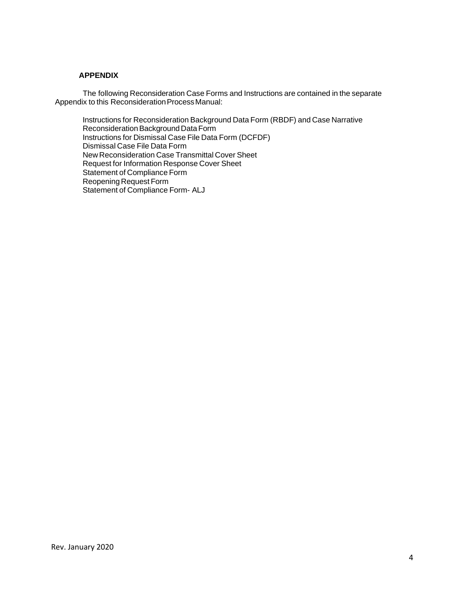#### **APPENDIX**

The following Reconsideration Case Forms and Instructions are contained in the separate Appendix to this Reconsideration Process Manual:

Instructions for Reconsideration Background Data Form (RBDF) and Case Narrative Reconsideration Background Data Form Instructions for Dismissal Case File Data Form (DCFDF) Dismissal Case File Data Form New Reconsideration Case Transmittal Cover Sheet Request for Information Response Cover Sheet Statement of Compliance Form Reopening Request Form Statement of Compliance Form- ALJ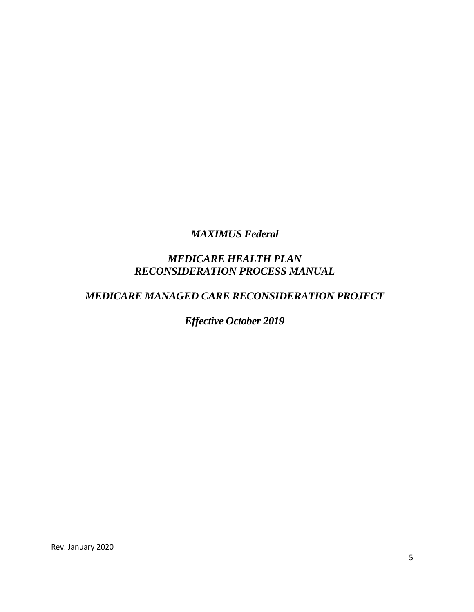*MAXIMUS Federal*

# *MEDICARE HEALTH PLAN RECONSIDERATION PROCESS MANUAL*

# *MEDICARE MANAGED CARE RECONSIDERATION PROJECT*

*Effective October 2019*

Rev. January 2020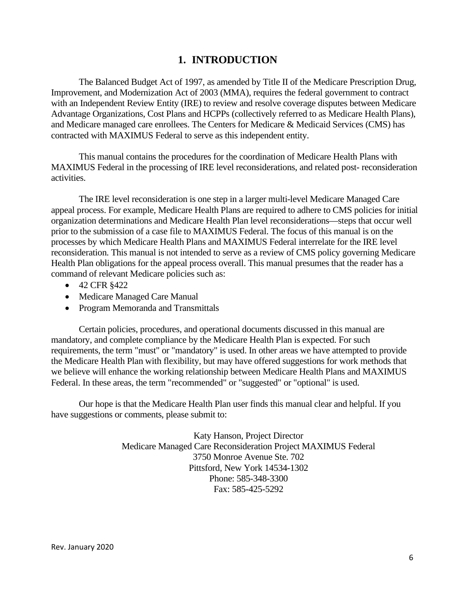# **1. INTRODUCTION**

The Balanced Budget Act of 1997, as amended by Title II of the Medicare Prescription Drug, Improvement, and Modernization Act of 2003 (MMA), requires the federal government to contract with an Independent Review Entity (IRE) to review and resolve coverage disputes between Medicare Advantage Organizations, Cost Plans and HCPPs (collectively referred to as Medicare Health Plans), and Medicare managed care enrollees. The Centers for Medicare & Medicaid Services (CMS) has contracted with MAXIMUS Federal to serve as this independent entity.

This manual contains the procedures for the coordination of Medicare Health Plans with MAXIMUS Federal in the processing of IRE level reconsiderations, and related post- reconsideration activities.

The IRE level reconsideration is one step in a larger multi-level Medicare Managed Care appeal process. For example, Medicare Health Plans are required to adhere to CMS policies for initial organization determinations and Medicare Health Plan level reconsiderations—steps that occur well prior to the submission of a case file to MAXIMUS Federal. The focus of this manual is on the processes by which Medicare Health Plans and MAXIMUS Federal interrelate for the IRE level reconsideration. This manual is not intended to serve as a review of CMS policy governing Medicare Health Plan obligations for the appeal process overall. This manual presumes that the reader has a command of relevant Medicare policies such as:

- 42 CFR §422
- · Medicare Managed Care Manual
- · Program Memoranda and Transmittals

Certain policies, procedures, and operational documents discussed in this manual are mandatory, and complete compliance by the Medicare Health Plan is expected. For such requirements, the term "must" or "mandatory" is used. In other areas we have attempted to provide the Medicare Health Plan with flexibility, but may have offered suggestions for work methods that we believe will enhance the working relationship between Medicare Health Plans and MAXIMUS Federal. In these areas, the term "recommended" or "suggested" or "optional" is used.

Our hope is that the Medicare Health Plan user finds this manual clear and helpful. If you have suggestions or comments, please submit to:

> Katy Hanson, Project Director Medicare Managed Care Reconsideration Project MAXIMUS Federal 3750 Monroe Avenue Ste. 702 Pittsford, New York 14534-1302 Phone: 585-348-3300 Fax: 585-425-5292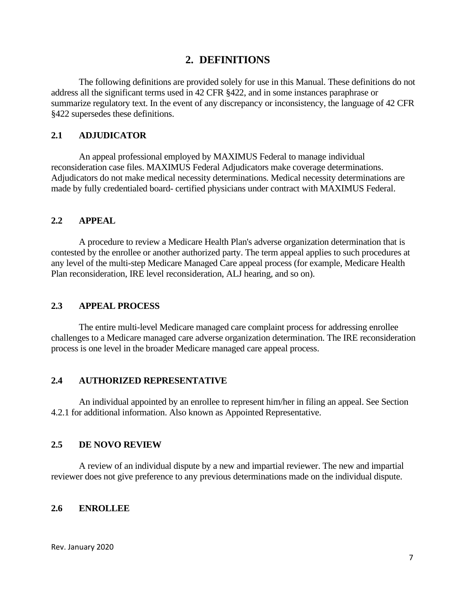#### **2. DEFINITIONS**

The following definitions are provided solely for use in this Manual. These definitions do not address all the significant terms used in 42 CFR §422, and in some instances paraphrase or summarize regulatory text. In the event of any discrepancy or inconsistency, the language of 42 CFR §422 supersedes these definitions.

#### **2.1 ADJUDICATOR**

An appeal professional employed by MAXIMUS Federal to manage individual reconsideration case files. MAXIMUS Federal Adjudicators make coverage determinations. Adjudicators do not make medical necessity determinations. Medical necessity determinations are made by fully credentialed board- certified physicians under contract with MAXIMUS Federal.

#### **2.2 APPEAL**

A procedure to review a Medicare Health Plan's adverse organization determination that is contested by the enrollee or another authorized party. The term appeal applies to such procedures at any level of the multi-step Medicare Managed Care appeal process (for example, Medicare Health Plan reconsideration, IRE level reconsideration, ALJ hearing, and so on).

#### **2.3 APPEAL PROCESS**

The entire multi-level Medicare managed care complaint process for addressing enrollee challenges to a Medicare managed care adverse organization determination. The IRE reconsideration process is one level in the broader Medicare managed care appeal process.

#### **2.4 AUTHORIZED REPRESENTATIVE**

An individual appointed by an enrollee to represent him/her in filing an appeal. See Section 4.2.1 for additional information. Also known as Appointed Representative.

#### **2.5 DE NOVO REVIEW**

A review of an individual dispute by a new and impartial reviewer. The new and impartial reviewer does not give preference to any previous determinations made on the individual dispute.

#### **2.6 ENROLLEE**

Rev. January 2020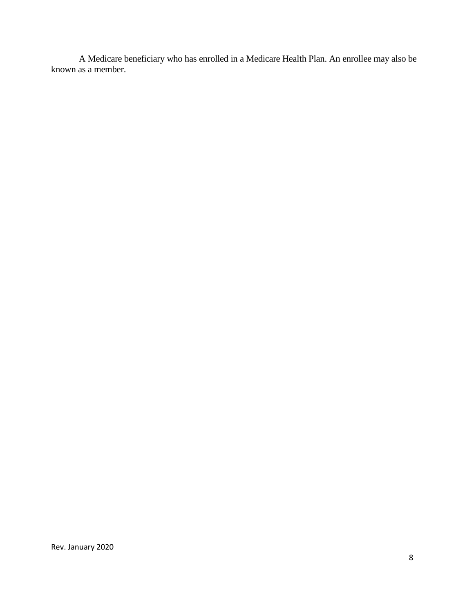A Medicare beneficiary who has enrolled in a Medicare Health Plan. An enrollee may also be known as a member.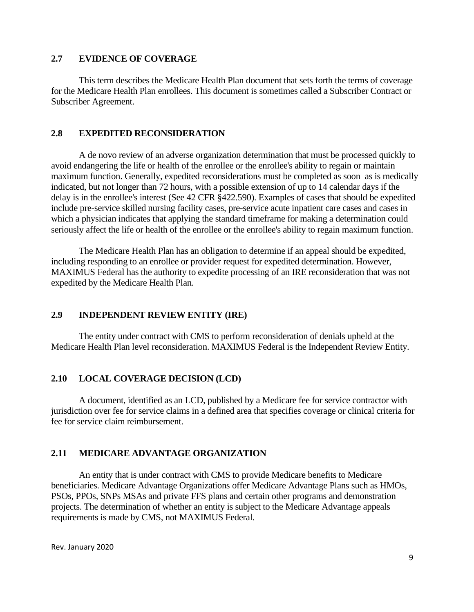#### **2.7 EVIDENCE OF COVERAGE**

This term describes the Medicare Health Plan document that sets forth the terms of coverage for the Medicare Health Plan enrollees. This document is sometimes called a Subscriber Contract or Subscriber Agreement.

#### **2.8 EXPEDITED RECONSIDERATION**

A de novo review of an adverse organization determination that must be processed quickly to avoid endangering the life or health of the enrollee or the enrollee's ability to regain or maintain maximum function. Generally, expedited reconsiderations must be completed as soon as is medically indicated, but not longer than 72 hours, with a possible extension of up to 14 calendar days if the delay is in the enrollee's interest (See 42 CFR §422.590). Examples of cases that should be expedited include pre-service skilled nursing facility cases, pre-service acute inpatient care cases and cases in which a physician indicates that applying the standard timeframe for making a determination could seriously affect the life or health of the enrollee or the enrollee's ability to regain maximum function.

The Medicare Health Plan has an obligation to determine if an appeal should be expedited, including responding to an enrollee or provider request for expedited determination. However, MAXIMUS Federal has the authority to expedite processing of an IRE reconsideration that was not expedited by the Medicare Health Plan.

#### **2.9 INDEPENDENT REVIEW ENTITY (IRE)**

The entity under contract with CMS to perform reconsideration of denials upheld at the Medicare Health Plan level reconsideration. MAXIMUS Federal is the Independent Review Entity.

#### **2.10 LOCAL COVERAGE DECISION (LCD)**

A document, identified as an LCD, published by a Medicare fee for service contractor with jurisdiction over fee for service claims in a defined area that specifies coverage or clinical criteria for fee for service claim reimbursement.

#### **2.11 MEDICARE ADVANTAGE ORGANIZATION**

An entity that is under contract with CMS to provide Medicare benefits to Medicare beneficiaries. Medicare Advantage Organizations offer Medicare Advantage Plans such as HMOs, PSOs, PPOs, SNPs MSAs and private FFS plans and certain other programs and demonstration projects. The determination of whether an entity is subject to the Medicare Advantage appeals requirements is made by CMS, not MAXIMUS Federal.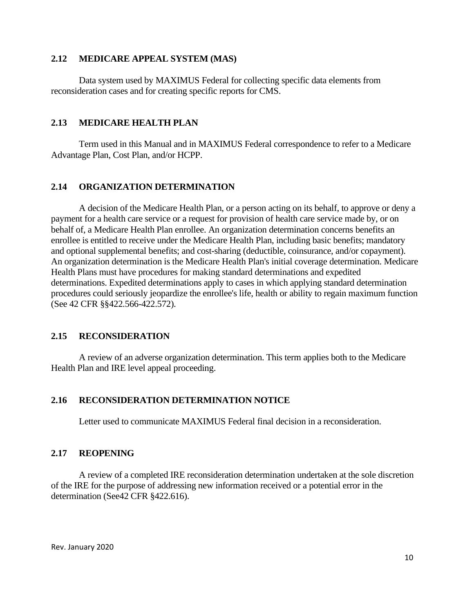#### **2.12 MEDICARE APPEAL SYSTEM (MAS)**

Data system used by MAXIMUS Federal for collecting specific data elements from reconsideration cases and for creating specific reports for CMS.

#### **2.13 MEDICARE HEALTH PLAN**

Term used in this Manual and in MAXIMUS Federal correspondence to refer to a Medicare Advantage Plan, Cost Plan, and/or HCPP.

#### **2.14 ORGANIZATION DETERMINATION**

A decision of the Medicare Health Plan, or a person acting on its behalf, to approve or deny a payment for a health care service or a request for provision of health care service made by, or on behalf of, a Medicare Health Plan enrollee. An organization determination concerns benefits an enrollee is entitled to receive under the Medicare Health Plan, including basic benefits; mandatory and optional supplemental benefits; and cost-sharing (deductible, coinsurance, and/or copayment). An organization determination is the Medicare Health Plan's initial coverage determination. Medicare Health Plans must have procedures for making standard determinations and expedited determinations. Expedited determinations apply to cases in which applying standard determination procedures could seriously jeopardize the enrollee's life, health or ability to regain maximum function (See 42 CFR §§422.566-422.572).

#### **2.15 RECONSIDERATION**

A review of an adverse organization determination. This term applies both to the Medicare Health Plan and IRE level appeal proceeding.

#### **2.16 RECONSIDERATION DETERMINATION NOTICE**

Letter used to communicate MAXIMUS Federal final decision in a reconsideration.

#### **2.17 REOPENING**

A review of a completed IRE reconsideration determination undertaken at the sole discretion of the IRE for the purpose of addressing new information received or a potential error in the determination (See42 CFR §422.616).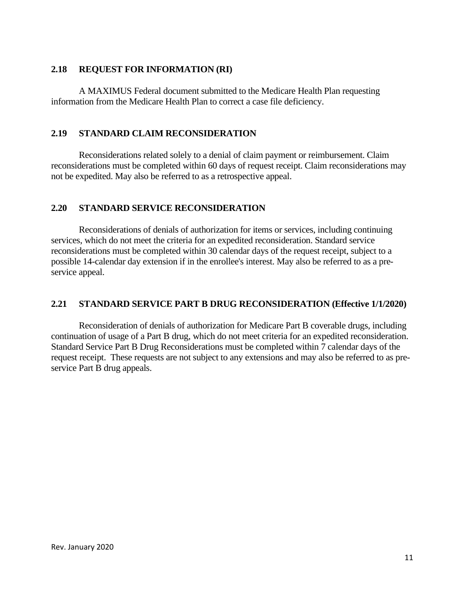#### **2.18 REQUEST FOR INFORMATION (RI)**

A MAXIMUS Federal document submitted to the Medicare Health Plan requesting information from the Medicare Health Plan to correct a case file deficiency.

#### **2.19 STANDARD CLAIM RECONSIDERATION**

Reconsiderations related solely to a denial of claim payment or reimbursement. Claim reconsiderations must be completed within 60 days of request receipt. Claim reconsiderations may not be expedited. May also be referred to as a retrospective appeal.

#### **2.20 STANDARD SERVICE RECONSIDERATION**

Reconsiderations of denials of authorization for items or services, including continuing services, which do not meet the criteria for an expedited reconsideration. Standard service reconsiderations must be completed within 30 calendar days of the request receipt, subject to a possible 14-calendar day extension if in the enrollee's interest. May also be referred to as a preservice appeal.

#### **2.21 STANDARD SERVICE PART B DRUG RECONSIDERATION (Effective 1/1/2020)**

Reconsideration of denials of authorization for Medicare Part B coverable drugs, including continuation of usage of a Part B drug, which do not meet criteria for an expedited reconsideration. Standard Service Part B Drug Reconsiderations must be completed within 7 calendar days of the request receipt. These requests are not subject to any extensions and may also be referred to as preservice Part B drug appeals.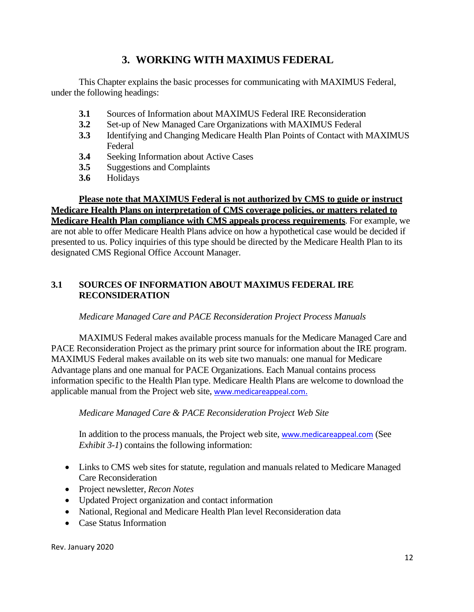# **3. WORKING WITH MAXIMUS FEDERAL**

This Chapter explains the basic processes for communicating with MAXIMUS Federal, under the following headings:

- **3.1** Sources of Information about MAXIMUS Federal IRE Reconsideration
- **3.2** Set-up of New Managed Care Organizations with MAXIMUS Federal
- **3.3** Identifying and Changing Medicare Health Plan Points of Contact with MAXIMUS Federal
- **3.4** Seeking Information about Active Cases
- **3.5** Suggestions and Complaints
- **3.6** Holidays

**Please note that MAXIMUS Federal is not authorized by CMS to guide or instruct Medicare Health Plans on interpretation of CMS coverage policies, or matters related to Medicare Health Plan compliance with CMS appeals process requirements**. For example, we are not able to offer Medicare Health Plans advice on how a hypothetical case would be decided if presented to us. Policy inquiries of this type should be directed by the Medicare Health Plan to its designated CMS Regional Office Account Manager.

# **3.1 SOURCES OF INFORMATION ABOUT MAXIMUS FEDERAL IRE RECONSIDERATION**

# *Medicare Managed Care and PACE Reconsideration Project Process Manuals*

MAXIMUS Federal makes available process manuals for the Medicare Managed Care and PACE Reconsideration Project as the primary print source for information about the IRE program. MAXIMUS Federal makes available on its web site two manuals: one manual for Medicare Advantage plans and one manual for PACE Organizations. Each Manual contains process information specific to the Health Plan type. Medicare Health Plans are welcome to download the applicable manual from the Project web site, <www.medicareappeal.com>.

#### *Medicare Managed Care & PACE Reconsideration Project Web Site*

In addition to the process manuals, the Project web site, <www.medicareappeal.com> (See *Exhibit 3-1*) contains the following information:

- · Links to CMS web sites for statute, regulation and manuals related to Medicare Managed Care Reconsideration
- · Project newsletter, *Recon Notes*
- · Updated Project organization and contact information
- · National, Regional and Medicare Health Plan level Reconsideration data
- · Case Status Information

Rev. January 2020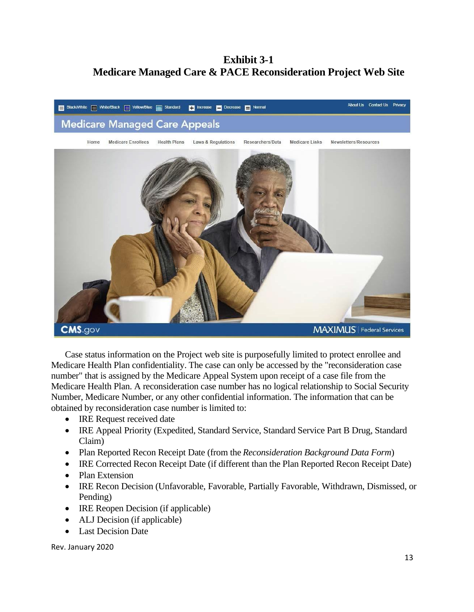# **Exhibit 3-1 Medicare Managed Care & PACE Reconsideration Project Web Site**



Case status information on the Project web site is purposefully limited to protect enrollee and Medicare Health Plan confidentiality. The case can only be accessed by the "reconsideration case number" that is assigned by the Medicare Appeal System upon receipt of a case file from the Medicare Health Plan. A reconsideration case number has no logical relationship to Social Security Number, Medicare Number, or any other confidential information. The information that can be obtained by reconsideration case number is limited to:

- IRE Request received date
- · IRE Appeal Priority (Expedited, Standard Service, Standard Service Part B Drug, Standard Claim)
- · Plan Reported Recon Receipt Date (from the *Reconsideration Background Data Form*)
- · IRE Corrected Recon Receipt Date (if different than the Plan Reported Recon Receipt Date)
- Plan Extension
- · IRE Recon Decision (Unfavorable, Favorable, Partially Favorable, Withdrawn, Dismissed, or Pending)
- IRE Reopen Decision (if applicable)
- ALJ Decision (if applicable)
- · Last Decision Date

Rev. January 2020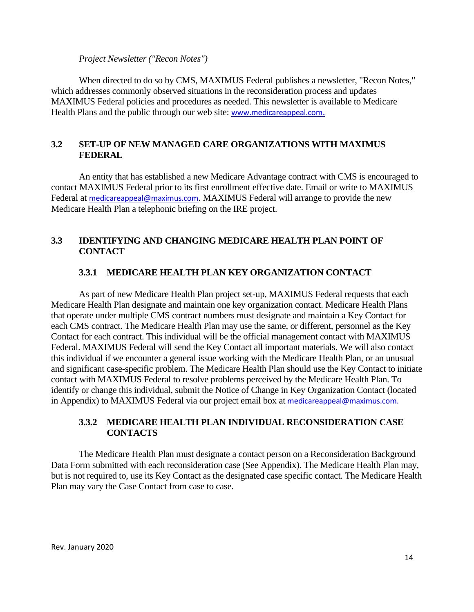#### *Project Newsletter ("Recon Notes")*

When directed to do so by CMS, MAXIMUS Federal publishes a newsletter, "Recon Notes," which addresses commonly observed situations in the reconsideration process and updates MAXIMUS Federal policies and procedures as needed. This newsletter is available to Medicare Health Plans and the public through our web site: <www.medicareappeal.com>.

#### **3.2 SET-UP OF NEW MANAGED CARE ORGANIZATIONS WITH MAXIMUS FEDERAL**

An entity that has established a new Medicare Advantage contract with CMS is encouraged to contact MAXIMUS Federal prior to its first enrollment effective date. Email or write to MAXIMUS Federal at [medicareappeal@maximus.com](mailto:medicareappeal@maximus.com). MAXIMUS Federal will arrange to provide the new Medicare Health Plan a telephonic briefing on the IRE project.

# **3.3 IDENTIFYING AND CHANGING MEDICARE HEALTH PLAN POINT OF CONTACT**

#### **3.3.1 MEDICARE HEALTH PLAN KEY ORGANIZATION CONTACT**

As part of new Medicare Health Plan project set-up, MAXIMUS Federal requests that each Medicare Health Plan designate and maintain one key organization contact. Medicare Health Plans that operate under multiple CMS contract numbers must designate and maintain a Key Contact for each CMS contract. The Medicare Health Plan may use the same, or different, personnel as the Key Contact for each contract. This individual will be the official management contact with MAXIMUS Federal. MAXIMUS Federal will send the Key Contact all important materials. We will also contact this individual if we encounter a general issue working with the Medicare Health Plan, or an unusual and significant case-specific problem. The Medicare Health Plan should use the Key Contact to initiate contact with MAXIMUS Federal to resolve problems perceived by the Medicare Health Plan. To identify or change this individual, submit the Notice of Change in Key Organization Contact (located in Appendix) to MAXIMUS Federal via our project email box at [medicareappeal@maximus.com.](mailto:medicareappeal@maximus.com.)

# **3.3.2 MEDICARE HEALTH PLAN INDIVIDUAL RECONSIDERATION CASE CONTACTS**

The Medicare Health Plan must designate a contact person on a Reconsideration Background Data Form submitted with each reconsideration case (See Appendix). The Medicare Health Plan may, but is not required to, use its Key Contact as the designated case specific contact. The Medicare Health Plan may vary the Case Contact from case to case.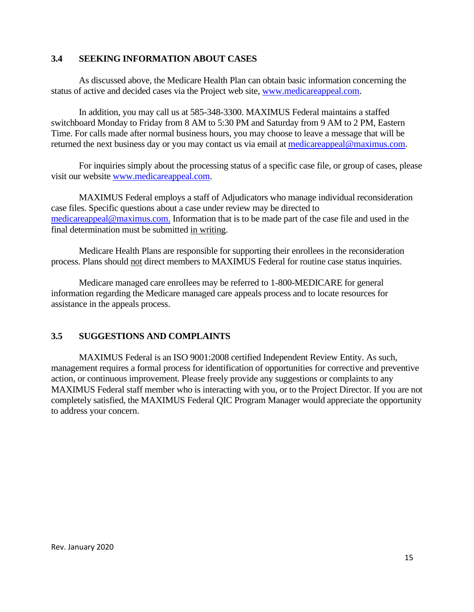#### **3.4 SEEKING INFORMATION ABOUT CASES**

As discussed above, the Medicare Health Plan can obtain basic information concerning the status of active and decided cases via the Project web site, <www.medicareappeal.com>.

In addition, you may call us at 585-348-3300. MAXIMUS Federal maintains a staffed switchboard Monday to Friday from 8 AM to 5:30 PM and Saturday from 9 AM to 2 PM, Eastern Time. For calls made after normal business hours, you may choose to leave a message that will be returned the next business day or you may contact us via email at [medicareappeal@maximus.com.](mailto:medicareappeal@maximus.com.)

For inquiries simply about the processing status of a specific case file, or group of cases, please visit our website <www.medicareappeal.com>.

MAXIMUS Federal employs a staff of Adjudicators who manage individual reconsideration case files. Specific questions about a case under review may be directed to [medicareappeal@maximus.com.](mailto:medicareappeal@maximus.com.) Information that is to be made part of the case file and used in the final determination must be submitted in writing.

Medicare Health Plans are responsible for supporting their enrollees in the reconsideration process. Plans should not direct members to MAXIMUS Federal for routine case status inquiries.

Medicare managed care enrollees may be referred to 1-800-MEDICARE for general information regarding the Medicare managed care appeals process and to locate resources for assistance in the appeals process.

#### **3.5 SUGGESTIONS AND COMPLAINTS**

MAXIMUS Federal is an ISO 9001:2008 certified Independent Review Entity. As such, management requires a formal process for identification of opportunities for corrective and preventive action, or continuous improvement. Please freely provide any suggestions or complaints to any MAXIMUS Federal staff member who is interacting with you, or to the Project Director. If you are not completely satisfied, the MAXIMUS Federal QIC Program Manager would appreciate the opportunity to address your concern.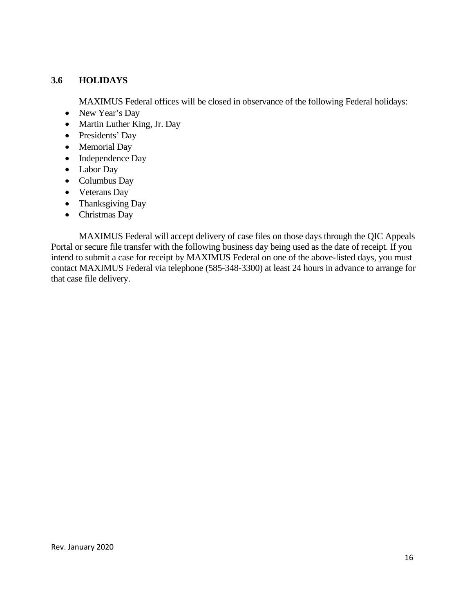# **3.6 HOLIDAYS**

MAXIMUS Federal offices will be closed in observance of the following Federal holidays:

- New Year's Day
- · Martin Luther King, Jr. Day
- Presidents' Day
- Memorial Day
- Independence Day
- Labor Day
- Columbus Day
- Veterans Day
- Thanksgiving Day
- Christmas Day

MAXIMUS Federal will accept delivery of case files on those days through the QIC Appeals Portal or secure file transfer with the following business day being used as the date of receipt. If you intend to submit a case for receipt by MAXIMUS Federal on one of the above-listed days, you must contact MAXIMUS Federal via telephone (585-348-3300) at least 24 hours in advance to arrange for that case file delivery.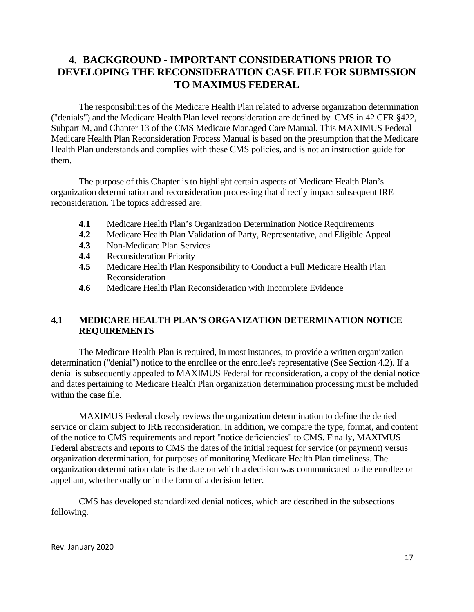# **4. BACKGROUND - IMPORTANT CONSIDERATIONS PRIOR TO DEVELOPING THE RECONSIDERATION CASE FILE FOR SUBMISSION TO MAXIMUS FEDERAL**

The responsibilities of the Medicare Health Plan related to adverse organization determination ("denials") and the Medicare Health Plan level reconsideration are defined by CMS in 42 CFR §422, Subpart M, and Chapter 13 of the CMS Medicare Managed Care Manual. This MAXIMUS Federal Medicare Health Plan Reconsideration Process Manual is based on the presumption that the Medicare Health Plan understands and complies with these CMS policies, and is not an instruction guide for them.

The purpose of this Chapter is to highlight certain aspects of Medicare Health Plan's organization determination and reconsideration processing that directly impact subsequent IRE reconsideration. The topics addressed are:

- **4.1** Medicare Health Plan's Organization Determination Notice Requirements<br>**4.2** Medicare Health Plan Validation of Party. Representative, and Eligible Ap
- **4.2** Medicare Health Plan Validation of Party, Representative, and Eligible Appeal
- **4.3** Non-Medicare Plan Services
- **4.4** Reconsideration Priority
- **4.5** Medicare Health Plan Responsibility to Conduct a Full Medicare Health Plan Reconsideration
- **4.6** Medicare Health Plan Reconsideration with Incomplete Evidence

# **4.1 MEDICARE HEALTH PLAN'S ORGANIZATION DETERMINATION NOTICE REQUIREMENTS**

The Medicare Health Plan is required, in most instances, to provide a written organization determination ("denial") notice to the enrollee or the enrollee's representative (See Section 4.2). If a denial is subsequently appealed to MAXIMUS Federal for reconsideration, a copy of the denial notice and dates pertaining to Medicare Health Plan organization determination processing must be included within the case file.

MAXIMUS Federal closely reviews the organization determination to define the denied service or claim subject to IRE reconsideration. In addition, we compare the type, format, and content of the notice to CMS requirements and report "notice deficiencies" to CMS. Finally, MAXIMUS Federal abstracts and reports to CMS the dates of the initial request for service (or payment) versus organization determination, for purposes of monitoring Medicare Health Plan timeliness. The organization determination date is the date on which a decision was communicated to the enrollee or appellant, whether orally or in the form of a decision letter.

CMS has developed standardized denial notices, which are described in the subsections following.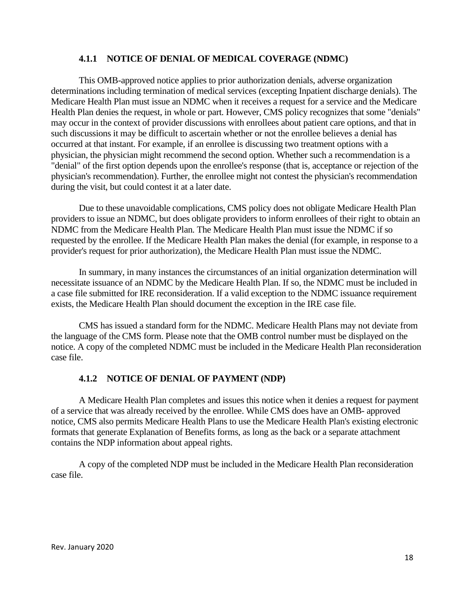#### **4.1.1 NOTICE OF DENIAL OF MEDICAL COVERAGE (NDMC)**

This OMB-approved notice applies to prior authorization denials, adverse organization determinations including termination of medical services (excepting Inpatient discharge denials). The Medicare Health Plan must issue an NDMC when it receives a request for a service and the Medicare Health Plan denies the request, in whole or part. However, CMS policy recognizes that some "denials" may occur in the context of provider discussions with enrollees about patient care options, and that in such discussions it may be difficult to ascertain whether or not the enrollee believes a denial has occurred at that instant. For example, if an enrollee is discussing two treatment options with a physician, the physician might recommend the second option. Whether such a recommendation is a "denial" of the first option depends upon the enrollee's response (that is, acceptance or rejection of the physician's recommendation). Further, the enrollee might not contest the physician's recommendation during the visit, but could contest it at a later date.

Due to these unavoidable complications, CMS policy does not obligate Medicare Health Plan providers to issue an NDMC, but does obligate providers to inform enrollees of their right to obtain an NDMC from the Medicare Health Plan. The Medicare Health Plan must issue the NDMC if so requested by the enrollee. If the Medicare Health Plan makes the denial (for example, in response to a provider's request for prior authorization), the Medicare Health Plan must issue the NDMC.

In summary, in many instances the circumstances of an initial organization determination will necessitate issuance of an NDMC by the Medicare Health Plan. If so, the NDMC must be included in a case file submitted for IRE reconsideration. If a valid exception to the NDMC issuance requirement exists, the Medicare Health Plan should document the exception in the IRE case file.

CMS has issued a standard form for the NDMC. Medicare Health Plans may not deviate from the language of the CMS form. Please note that the OMB control number must be displayed on the notice. A copy of the completed NDMC must be included in the Medicare Health Plan reconsideration case file.

#### **4.1.2 NOTICE OF DENIAL OF PAYMENT (NDP)**

A Medicare Health Plan completes and issues this notice when it denies a request for payment of a service that was already received by the enrollee. While CMS does have an OMB- approved notice, CMS also permits Medicare Health Plans to use the Medicare Health Plan's existing electronic formats that generate Explanation of Benefits forms, as long as the back or a separate attachment contains the NDP information about appeal rights.

A copy of the completed NDP must be included in the Medicare Health Plan reconsideration case file.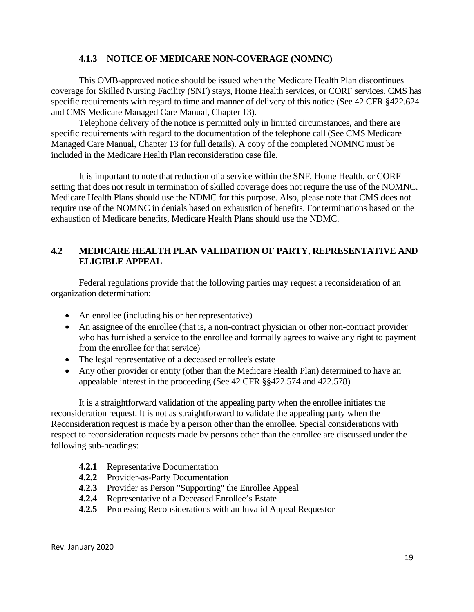#### **4.1.3 NOTICE OF MEDICARE NON-COVERAGE (NOMNC)**

This OMB-approved notice should be issued when the Medicare Health Plan discontinues coverage for Skilled Nursing Facility (SNF) stays, Home Health services, or CORF services. CMS has specific requirements with regard to time and manner of delivery of this notice (See 42 CFR §422.624 and CMS Medicare Managed Care Manual, Chapter 13).

Telephone delivery of the notice is permitted only in limited circumstances, and there are specific requirements with regard to the documentation of the telephone call (See CMS Medicare Managed Care Manual, Chapter 13 for full details). A copy of the completed NOMNC must be included in the Medicare Health Plan reconsideration case file.

It is important to note that reduction of a service within the SNF, Home Health, or CORF setting that does not result in termination of skilled coverage does not require the use of the NOMNC. Medicare Health Plans should use the NDMC for this purpose. Also, please note that CMS does not require use of the NOMNC in denials based on exhaustion of benefits. For terminations based on the exhaustion of Medicare benefits, Medicare Health Plans should use the NDMC.

# **4.2 MEDICARE HEALTH PLAN VALIDATION OF PARTY, REPRESENTATIVE AND ELIGIBLE APPEAL**

Federal regulations provide that the following parties may request a reconsideration of an organization determination:

- An enrollee (including his or her representative)
- An assignee of the enrollee (that is, a non-contract physician or other non-contract provider who has furnished a service to the enrollee and formally agrees to waive any right to payment from the enrollee for that service)
- The legal representative of a deceased enrollee's estate
- Any other provider or entity (other than the Medicare Health Plan) determined to have an appealable interest in the proceeding (See 42 CFR §§422.574 and 422.578)

It is a straightforward validation of the appealing party when the enrollee initiates the reconsideration request. It is not as straightforward to validate the appealing party when the Reconsideration request is made by a person other than the enrollee. Special considerations with respect to reconsideration requests made by persons other than the enrollee are discussed under the following sub-headings:

- **4.2.1** Representative Documentation
- **4.2.2** Provider-as-Party Documentation
- **4.2.3** Provider as Person "Supporting" the Enrollee Appeal
- **4.2.4** Representative of a Deceased Enrollee's Estate
- **4.2.5** Processing Reconsiderations with an Invalid Appeal Requestor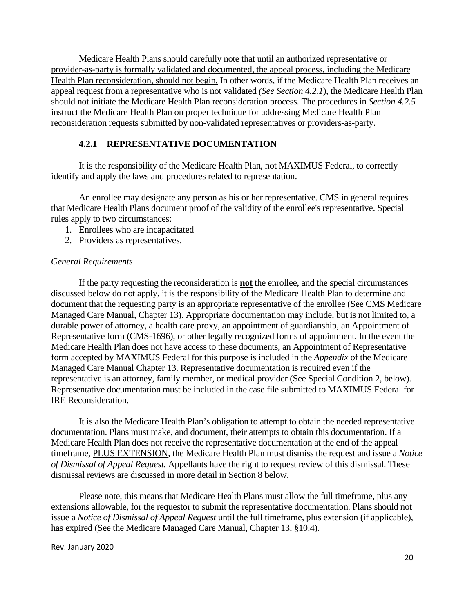Medicare Health Plans should carefully note that until an authorized representative or provider-as-party is formally validated and documented, the appeal process, including the Medicare Health Plan reconsideration, should not begin. In other words, if the Medicare Health Plan receives an appeal request from a representative who is not validated *(See Section 4.2.1*), the Medicare Health Plan should not initiate the Medicare Health Plan reconsideration process. The procedures in *Section 4.2.5* instruct the Medicare Health Plan on proper technique for addressing Medicare Health Plan reconsideration requests submitted by non-validated representatives or providers-as-party.

#### **4.2.1 REPRESENTATIVE DOCUMENTATION**

It is the responsibility of the Medicare Health Plan, not MAXIMUS Federal, to correctly identify and apply the laws and procedures related to representation.

An enrollee may designate any person as his or her representative. CMS in general requires that Medicare Health Plans document proof of the validity of the enrollee's representative. Special rules apply to two circumstances:

- 1. Enrollees who are incapacitated
- 2. Providers as representatives.

#### *General Requirements*

If the party requesting the reconsideration is **not** the enrollee, and the special circumstances discussed below do not apply, it is the responsibility of the Medicare Health Plan to determine and document that the requesting party is an appropriate representative of the enrollee (See CMS Medicare Managed Care Manual, Chapter 13). Appropriate documentation may include, but is not limited to, a durable power of attorney, a health care proxy, an appointment of guardianship, an Appointment of Representative form (CMS-1696), or other legally recognized forms of appointment. In the event the Medicare Health Plan does not have access to these documents, an Appointment of Representative form accepted by MAXIMUS Federal for this purpose is included in the *Appendix* of the Medicare Managed Care Manual Chapter 13. Representative documentation is required even if the representative is an attorney, family member, or medical provider (See Special Condition 2, below). Representative documentation must be included in the case file submitted to MAXIMUS Federal for IRE Reconsideration.

It is also the Medicare Health Plan's obligation to attempt to obtain the needed representative documentation. Plans must make, and document, their attempts to obtain this documentation. If a Medicare Health Plan does not receive the representative documentation at the end of the appeal timeframe, PLUS EXTENSION, the Medicare Health Plan must dismiss the request and issue a *Notice of Dismissal of Appeal Request.* Appellants have the right to request review of this dismissal. These dismissal reviews are discussed in more detail in Section 8 below.

Please note, this means that Medicare Health Plans must allow the full timeframe, plus any extensions allowable, for the requestor to submit the representative documentation. Plans should not issue a *Notice of Dismissal of Appeal Request* until the full timeframe, plus extension (if applicable), has expired (See the Medicare Managed Care Manual, Chapter 13, §10.4).

Rev. January 2020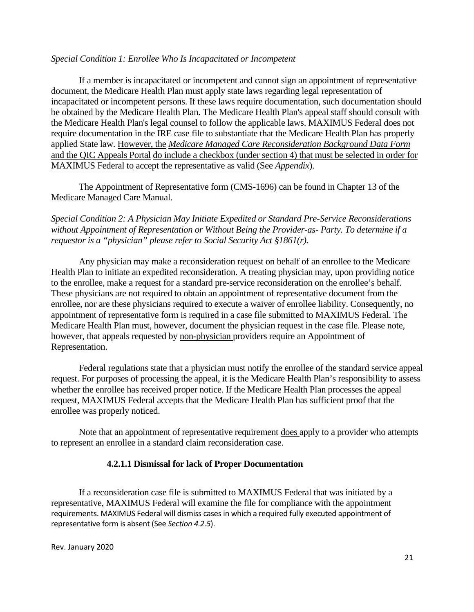#### *Special Condition 1: Enrollee Who Is Incapacitated or Incompetent*

If a member is incapacitated or incompetent and cannot sign an appointment of representative document, the Medicare Health Plan must apply state laws regarding legal representation of incapacitated or incompetent persons. If these laws require documentation, such documentation should be obtained by the Medicare Health Plan. The Medicare Health Plan's appeal staff should consult with the Medicare Health Plan's legal counsel to follow the applicable laws. MAXIMUS Federal does not require documentation in the IRE case file to substantiate that the Medicare Health Plan has properly applied State law. However, the *Medicare Managed Care Reconsideration Background Data Form*  and the QIC Appeals Portal do include a checkbox (under section 4) that must be selected in order for MAXIMUS Federal to accept the representative as valid (See *Appendix*).

The Appointment of Representative form (CMS-1696) can be found in Chapter 13 of the Medicare Managed Care Manual.

*Special Condition 2: A Physician May Initiate Expedited or Standard Pre-Service Reconsiderations without Appointment of Representation or Without Being the Provider-as- Party. To determine if a requestor is a "physician" please refer to Social Security Act §1861(r).*

Any physician may make a reconsideration request on behalf of an enrollee to the Medicare Health Plan to initiate an expedited reconsideration. A treating physician may, upon providing notice to the enrollee, make a request for a standard pre-service reconsideration on the enrollee's behalf. These physicians are not required to obtain an appointment of representative document from the enrollee, nor are these physicians required to execute a waiver of enrollee liability. Consequently, no appointment of representative form is required in a case file submitted to MAXIMUS Federal. The Medicare Health Plan must, however, document the physician request in the case file. Please note, however, that appeals requested by non-physician providers require an Appointment of Representation.

Federal regulations state that a physician must notify the enrollee of the standard service appeal request. For purposes of processing the appeal, it is the Medicare Health Plan's responsibility to assess whether the enrollee has received proper notice. If the Medicare Health Plan processes the appeal request, MAXIMUS Federal accepts that the Medicare Health Plan has sufficient proof that the enrollee was properly noticed.

Note that an appointment of representative requirement does apply to a provider who attempts to represent an enrollee in a standard claim reconsideration case.

#### **4.2.1.1 Dismissal for lack of Proper Documentation**

If a reconsideration case file is submitted to MAXIMUS Federal that was initiated by a representative, MAXIMUS Federal will examine the file for compliance with the appointment requirements. MAXIMUS Federal will dismiss cases in which a required fully executed appointment of representative form is absent (See *Section 4.2.5*).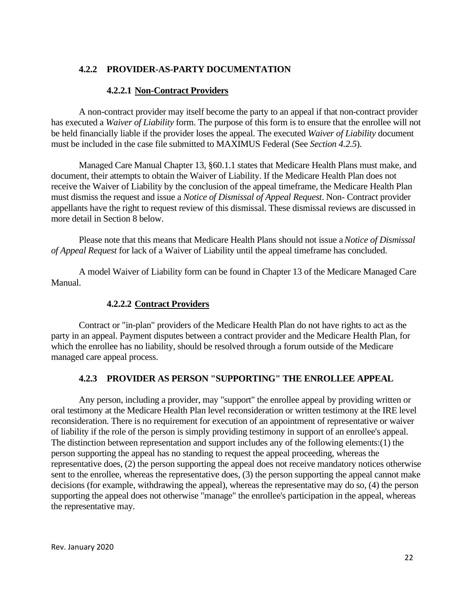#### **4.2.2 PROVIDER-AS-PARTY DOCUMENTATION**

#### **4.2.2.1 Non-Contract Providers**

A non-contract provider may itself become the party to an appeal if that non-contract provider has executed a *Waiver of Liability* form. The purpose of this form is to ensure that the enrollee will not be held financially liable if the provider loses the appeal. The executed *Waiver of Liability* document must be included in the case file submitted to MAXIMUS Federal (See *Section 4.2.5*).

Managed Care Manual Chapter 13, §60.1.1 states that Medicare Health Plans must make, and document, their attempts to obtain the Waiver of Liability. If the Medicare Health Plan does not receive the Waiver of Liability by the conclusion of the appeal timeframe, the Medicare Health Plan must dismiss the request and issue a *Notice of Dismissal of Appeal Request*. Non- Contract provider appellants have the right to request review of this dismissal. These dismissal reviews are discussed in more detail in Section 8 below.

Please note that this means that Medicare Health Plans should not issue a *Notice of Dismissal of Appeal Request* for lack of a Waiver of Liability until the appeal timeframe has concluded.

A model Waiver of Liability form can be found in Chapter 13 of the Medicare Managed Care Manual.

#### **4.2.2.2 Contract Providers**

Contract or "in-plan" providers of the Medicare Health Plan do not have rights to act as the party in an appeal. Payment disputes between a contract provider and the Medicare Health Plan, for which the enrollee has no liability, should be resolved through a forum outside of the Medicare managed care appeal process.

# **4.2.3 PROVIDER AS PERSON "SUPPORTING" THE ENROLLEE APPEAL**

Any person, including a provider, may "support" the enrollee appeal by providing written or oral testimony at the Medicare Health Plan level reconsideration or written testimony at the IRE level reconsideration. There is no requirement for execution of an appointment of representative or waiver of liability if the role of the person is simply providing testimony in support of an enrollee's appeal. The distinction between representation and support includes any of the following elements:(1) the person supporting the appeal has no standing to request the appeal proceeding, whereas the representative does, (2) the person supporting the appeal does not receive mandatory notices otherwise sent to the enrollee, whereas the representative does, (3) the person supporting the appeal cannot make decisions (for example, withdrawing the appeal), whereas the representative may do so, (4) the person supporting the appeal does not otherwise "manage" the enrollee's participation in the appeal, whereas the representative may.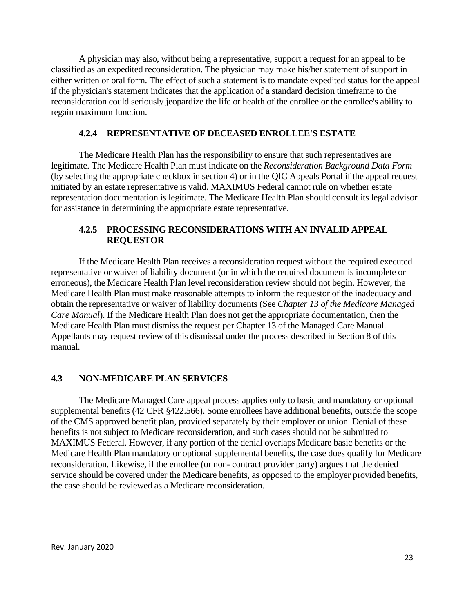A physician may also, without being a representative, support a request for an appeal to be classified as an expedited reconsideration. The physician may make his/her statement of support in either written or oral form. The effect of such a statement is to mandate expedited status for the appeal if the physician's statement indicates that the application of a standard decision timeframe to the reconsideration could seriously jeopardize the life or health of the enrollee or the enrollee's ability to regain maximum function.

#### **4.2.4 REPRESENTATIVE OF DECEASED ENROLLEE'S ESTATE**

The Medicare Health Plan has the responsibility to ensure that such representatives are legitimate. The Medicare Health Plan must indicate on the *Reconsideration Background Data Form* (by selecting the appropriate checkbox in section 4) or in the QIC Appeals Portal if the appeal request initiated by an estate representative is valid. MAXIMUS Federal cannot rule on whether estate representation documentation is legitimate. The Medicare Health Plan should consult its legal advisor for assistance in determining the appropriate estate representative.

#### **4.2.5 PROCESSING RECONSIDERATIONS WITH AN INVALID APPEAL REQUESTOR**

If the Medicare Health Plan receives a reconsideration request without the required executed representative or waiver of liability document (or in which the required document is incomplete or erroneous), the Medicare Health Plan level reconsideration review should not begin. However, the Medicare Health Plan must make reasonable attempts to inform the requestor of the inadequacy and obtain the representative or waiver of liability documents (See *Chapter 13 of the Medicare Managed Care Manual*). If the Medicare Health Plan does not get the appropriate documentation, then the Medicare Health Plan must dismiss the request per Chapter 13 of the Managed Care Manual. Appellants may request review of this dismissal under the process described in Section 8 of this manual.

#### **4.3 NON-MEDICARE PLAN SERVICES**

The Medicare Managed Care appeal process applies only to basic and mandatory or optional supplemental benefits (42 CFR §422.566). Some enrollees have additional benefits, outside the scope of the CMS approved benefit plan, provided separately by their employer or union. Denial of these benefits is not subject to Medicare reconsideration, and such cases should not be submitted to MAXIMUS Federal. However, if any portion of the denial overlaps Medicare basic benefits or the Medicare Health Plan mandatory or optional supplemental benefits, the case does qualify for Medicare reconsideration. Likewise, if the enrollee (or non- contract provider party) argues that the denied service should be covered under the Medicare benefits, as opposed to the employer provided benefits, the case should be reviewed as a Medicare reconsideration.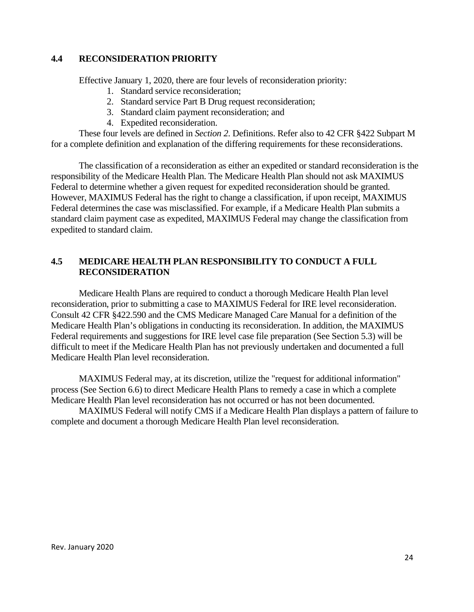#### **4.4 RECONSIDERATION PRIORITY**

Effective January 1, 2020, there are four levels of reconsideration priority:

- 1. Standard service reconsideration;
- 2. Standard service Part B Drug request reconsideration;
- 3. Standard claim payment reconsideration; and
- 4. Expedited reconsideration.

These four levels are defined in *Section 2*. Definitions. Refer also to 42 CFR §422 Subpart M for a complete definition and explanation of the differing requirements for these reconsiderations.

The classification of a reconsideration as either an expedited or standard reconsideration is the responsibility of the Medicare Health Plan. The Medicare Health Plan should not ask MAXIMUS Federal to determine whether a given request for expedited reconsideration should be granted. However, MAXIMUS Federal has the right to change a classification, if upon receipt, MAXIMUS Federal determines the case was misclassified. For example, if a Medicare Health Plan submits a standard claim payment case as expedited, MAXIMUS Federal may change the classification from expedited to standard claim.

#### **4.5 MEDICARE HEALTH PLAN RESPONSIBILITY TO CONDUCT A FULL RECONSIDERATION**

Medicare Health Plans are required to conduct a thorough Medicare Health Plan level reconsideration, prior to submitting a case to MAXIMUS Federal for IRE level reconsideration. Consult 42 CFR §422.590 and the CMS Medicare Managed Care Manual for a definition of the Medicare Health Plan's obligations in conducting its reconsideration. In addition, the MAXIMUS Federal requirements and suggestions for IRE level case file preparation (See Section 5.3) will be difficult to meet if the Medicare Health Plan has not previously undertaken and documented a full Medicare Health Plan level reconsideration.

MAXIMUS Federal may, at its discretion, utilize the "request for additional information" process (See Section 6.6) to direct Medicare Health Plans to remedy a case in which a complete Medicare Health Plan level reconsideration has not occurred or has not been documented.

MAXIMUS Federal will notify CMS if a Medicare Health Plan displays a pattern of failure to complete and document a thorough Medicare Health Plan level reconsideration.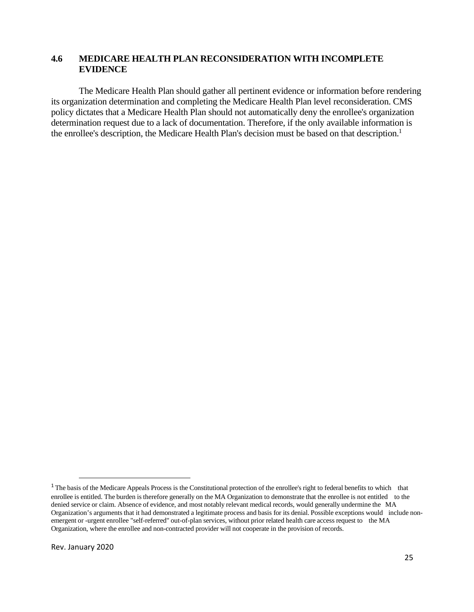#### **4.6 MEDICARE HEALTH PLAN RECONSIDERATION WITH INCOMPLETE EVIDENCE**

The Medicare Health Plan should gather all pertinent evidence or information before rendering its organization determination and completing the Medicare Health Plan level reconsideration. CMS policy dictates that a Medicare Health Plan should not automatically deny the enrollee's organization determination request due to a lack of documentation. Therefore, if the only available information is the enrollee's description, the Medicare Health Plan's decision must be based on that description.<sup>1</sup>

<sup>&</sup>lt;sup>1</sup> The basis of the Medicare Appeals Process is the Constitutional protection of the enrollee's right to federal benefits to which that enrollee is entitled. The burden is therefore generally on the MA Organization to demonstrate that the enrollee is not entitled to the denied service or claim. Absence of evidence, and most notably relevant medical records, would generally undermine the MA Organization's arguments that it had demonstrated a legitimate process and basis for its denial. Possible exceptions would include nonemergent or -urgent enrollee "self-referred" out-of-plan services, without prior related health care access request to the MA Organization, where the enrollee and non-contracted provider will not cooperate in the provision of records.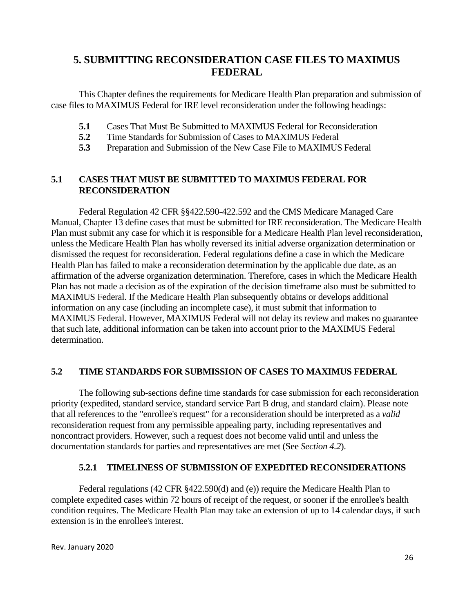# **5. SUBMITTING RECONSIDERATION CASE FILES TO MAXIMUS FEDERAL**

This Chapter defines the requirements for Medicare Health Plan preparation and submission of case files to MAXIMUS Federal for IRE level reconsideration under the following headings:

- **5.1** Cases That Must Be Submitted to MAXIMUS Federal for Reconsideration
- **5.2** Time Standards for Submission of Cases to MAXIMUS Federal
- **5.3** Preparation and Submission of the New Case File to MAXIMUS Federal

# **5.1 CASES THAT MUST BE SUBMITTED TO MAXIMUS FEDERAL FOR RECONSIDERATION**

Federal Regulation 42 CFR §§422.590-422.592 and the CMS Medicare Managed Care Manual, Chapter 13 define cases that must be submitted for IRE reconsideration. The Medicare Health Plan must submit any case for which it is responsible for a Medicare Health Plan level reconsideration, unless the Medicare Health Plan has wholly reversed its initial adverse organization determination or dismissed the request for reconsideration. Federal regulations define a case in which the Medicare Health Plan has failed to make a reconsideration determination by the applicable due date, as an affirmation of the adverse organization determination. Therefore, cases in which the Medicare Health Plan has not made a decision as of the expiration of the decision timeframe also must be submitted to MAXIMUS Federal. If the Medicare Health Plan subsequently obtains or develops additional information on any case (including an incomplete case), it must submit that information to MAXIMUS Federal. However, MAXIMUS Federal will not delay its review and makes no guarantee that such late, additional information can be taken into account prior to the MAXIMUS Federal determination.

# **5.2 TIME STANDARDS FOR SUBMISSION OF CASES TO MAXIMUS FEDERAL**

The following sub-sections define time standards for case submission for each reconsideration priority (expedited, standard service, standard service Part B drug, and standard claim). Please note that all references to the "enrollee's request" for a reconsideration should be interpreted as a *valid* reconsideration request from any permissible appealing party, including representatives and noncontract providers. However, such a request does not become valid until and unless the documentation standards for parties and representatives are met (See *Section 4.2*).

# **5.2.1 TIMELINESS OF SUBMISSION OF EXPEDITED RECONSIDERATIONS**

Federal regulations (42 CFR §422.590(d) and (e)) require the Medicare Health Plan to complete expedited cases within 72 hours of receipt of the request, or sooner if the enrollee's health condition requires. The Medicare Health Plan may take an extension of up to 14 calendar days, if such extension is in the enrollee's interest.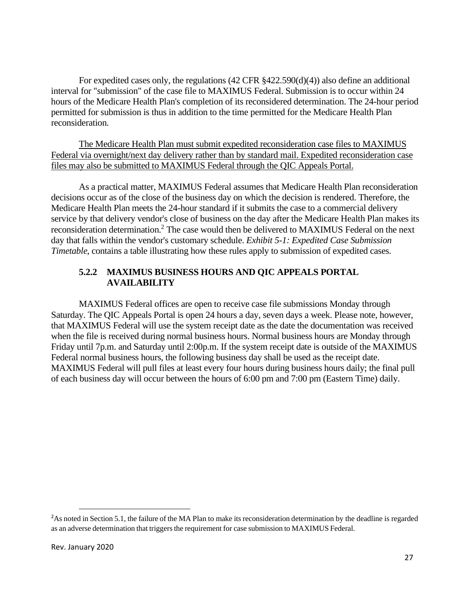For expedited cases only, the regulations (42 CFR §422.590(d)(4)) also define an additional interval for "submission" of the case file to MAXIMUS Federal. Submission is to occur within 24 hours of the Medicare Health Plan's completion of its reconsidered determination. The 24-hour period permitted for submission is thus in addition to the time permitted for the Medicare Health Plan reconsideration.

The Medicare Health Plan must submit expedited reconsideration case files to MAXIMUS Federal via overnight/next day delivery rather than by standard mail. Expedited reconsideration case files may also be submitted to MAXIMUS Federal through the QIC Appeals Portal.

As a practical matter, MAXIMUS Federal assumes that Medicare Health Plan reconsideration decisions occur as of the close of the business day on which the decision is rendered. Therefore, the Medicare Health Plan meets the 24-hour standard if it submits the case to a commercial delivery service by that delivery vendor's close of business on the day after the Medicare Health Plan makes its reconsideration determination.<sup>2</sup> The case would then be delivered to MAXIMUS Federal on the next day that falls within the vendor's customary schedule. *Exhibit 5-1: Expedited Case Submission Timetable*, contains a table illustrating how these rules apply to submission of expedited cases.

# **5.2.2 MAXIMUS BUSINESS HOURS AND QIC APPEALS PORTAL AVAILABILITY**

MAXIMUS Federal offices are open to receive case file submissions Monday through Saturday. The QIC Appeals Portal is open 24 hours a day, seven days a week. Please note, however, that MAXIMUS Federal will use the system receipt date as the date the documentation was received when the file is received during normal business hours. Normal business hours are Monday through Friday until 7p.m. and Saturday until 2:00p.m. If the system receipt date is outside of the MAXIMUS Federal normal business hours, the following business day shall be used as the receipt date. MAXIMUS Federal will pull files at least every four hours during business hours daily; the final pull of each business day will occur between the hours of 6:00 pm and 7:00 pm (Eastern Time) daily.

<sup>&</sup>lt;sup>2</sup>As noted in Section 5.1, the failure of the MA Plan to make its reconsideration determination by the deadline is regarded as an adverse determination that triggers the requirement for case submission to MAXIMUS Federal.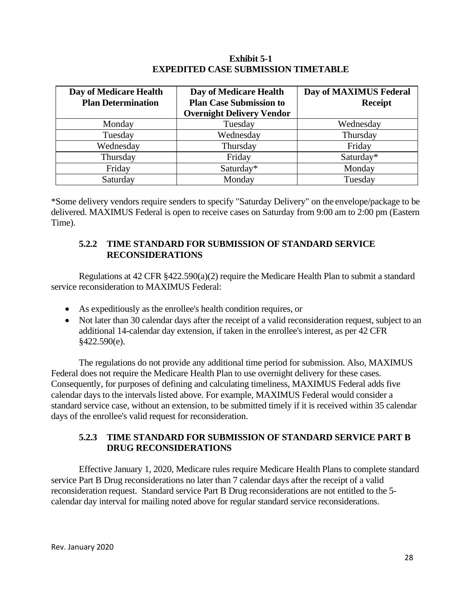#### **Exhibit 5-1 EXPEDITED CASE SUBMISSION TIMETABLE**

| Day of Medicare Health    | Day of Medicare Health           | Day of MAXIMUS Federal |
|---------------------------|----------------------------------|------------------------|
| <b>Plan Determination</b> | <b>Plan Case Submission to</b>   | <b>Receipt</b>         |
|                           | <b>Overnight Delivery Vendor</b> |                        |
| Monday                    | Tuesday                          | Wednesday              |
| Tuesday                   | Wednesday                        | Thursday               |
| Wednesday                 | Thursday                         | Friday                 |
| Thursday                  | Friday                           | Saturday*              |
| Friday                    | Saturday*                        | Monday                 |
| Saturday                  | Monday                           | Tuesday                |

\*Some delivery vendors require senders to specify "Saturday Delivery" on the envelope/package to be delivered. MAXIMUS Federal is open to receive cases on Saturday from 9:00 am to 2:00 pm (Eastern Time).

# **5.2.2 TIME STANDARD FOR SUBMISSION OF STANDARD SERVICE RECONSIDERATIONS**

Regulations at 42 CFR §422.590(a)(2) require the Medicare Health Plan to submit a standard service reconsideration to MAXIMUS Federal:

- · As expeditiously as the enrollee's health condition requires, or
- Not later than 30 calendar days after the receipt of a valid reconsideration request, subject to an additional 14-calendar day extension, if taken in the enrollee's interest, as per 42 CFR §422.590(e).

The regulations do not provide any additional time period for submission. Also, MAXIMUS Federal does not require the Medicare Health Plan to use overnight delivery for these cases. Consequently, for purposes of defining and calculating timeliness, MAXIMUS Federal adds five calendar days to the intervals listed above. For example, MAXIMUS Federal would consider a standard service case, without an extension, to be submitted timely if it is received within 35 calendar days of the enrollee's valid request for reconsideration.

# **5.2.3 TIME STANDARD FOR SUBMISSION OF STANDARD SERVICE PART B DRUG RECONSIDERATIONS**

Effective January 1, 2020, Medicare rules require Medicare Health Plans to complete standard service Part B Drug reconsiderations no later than 7 calendar days after the receipt of a valid reconsideration request. Standard service Part B Drug reconsiderations are not entitled to the 5 calendar day interval for mailing noted above for regular standard service reconsiderations.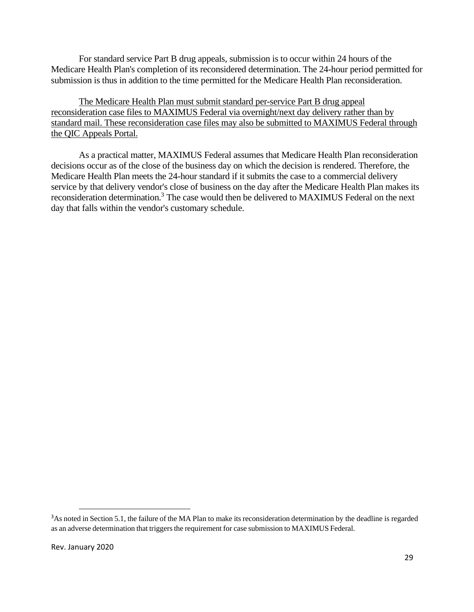For standard service Part B drug appeals, submission is to occur within 24 hours of the Medicare Health Plan's completion of its reconsidered determination. The 24-hour period permitted for submission is thus in addition to the time permitted for the Medicare Health Plan reconsideration.

The Medicare Health Plan must submit standard per-service Part B drug appeal reconsideration case files to MAXIMUS Federal via overnight/next day delivery rather than by standard mail. These reconsideration case files may also be submitted to MAXIMUS Federal through the QIC Appeals Portal.

As a practical matter, MAXIMUS Federal assumes that Medicare Health Plan reconsideration decisions occur as of the close of the business day on which the decision is rendered. Therefore, the Medicare Health Plan meets the 24-hour standard if it submits the case to a commercial delivery service by that delivery vendor's close of business on the day after the Medicare Health Plan makes its reconsideration determination.<sup>3</sup> The case would then be delivered to MAXIMUS Federal on the next day that falls within the vendor's customary schedule.

<sup>&</sup>lt;sup>3</sup>As noted in Section 5.1, the failure of the MA Plan to make its reconsideration determination by the deadline is regarded as an adverse determination that triggers the requirement for case submission to MAXIMUS Federal.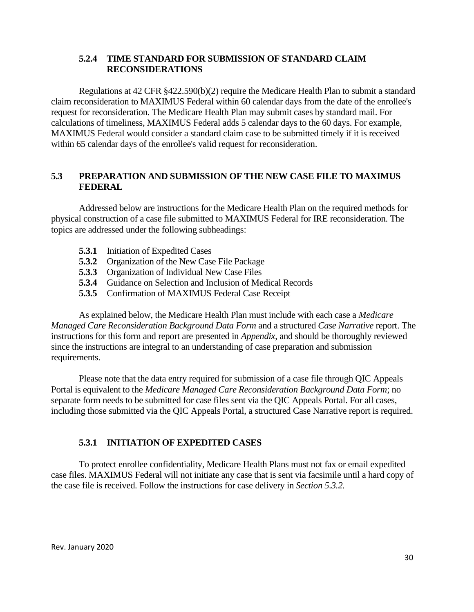#### **5.2.4 TIME STANDARD FOR SUBMISSION OF STANDARD CLAIM RECONSIDERATIONS**

Regulations at 42 CFR §422.590(b)(2) require the Medicare Health Plan to submit a standard claim reconsideration to MAXIMUS Federal within 60 calendar days from the date of the enrollee's request for reconsideration. The Medicare Health Plan may submit cases by standard mail. For calculations of timeliness, MAXIMUS Federal adds 5 calendar days to the 60 days. For example, MAXIMUS Federal would consider a standard claim case to be submitted timely if it is received within 65 calendar days of the enrollee's valid request for reconsideration.

# **5.3 PREPARATION AND SUBMISSION OF THE NEW CASE FILE TO MAXIMUS FEDERAL**

Addressed below are instructions for the Medicare Health Plan on the required methods for physical construction of a case file submitted to MAXIMUS Federal for IRE reconsideration. The topics are addressed under the following subheadings:

- **5.3.1** Initiation of Expedited Cases
- **5.3.2** Organization of the New Case File Package
- **5.3.3** Organization of Individual New Case Files
- **5.3.4** Guidance on Selection and Inclusion of Medical Records
- **5.3.5** Confirmation of MAXIMUS Federal Case Receipt

As explained below, the Medicare Health Plan must include with each case a *Medicare Managed Care Reconsideration Background Data Form* and a structured *Case Narrative* report. The instructions for this form and report are presented in *Appendix*, and should be thoroughly reviewed since the instructions are integral to an understanding of case preparation and submission requirements.

Please note that the data entry required for submission of a case file through QIC Appeals Portal is equivalent to the *Medicare Managed Care Reconsideration Background Data Form*; no separate form needs to be submitted for case files sent via the QIC Appeals Portal. For all cases, including those submitted via the QIC Appeals Portal, a structured Case Narrative report is required.

# **5.3.1 INITIATION OF EXPEDITED CASES**

To protect enrollee confidentiality, Medicare Health Plans must not fax or email expedited case files. MAXIMUS Federal will not initiate any case that is sent via facsimile until a hard copy of the case file is received. Follow the instructions for case delivery in *Section 5.3.2.*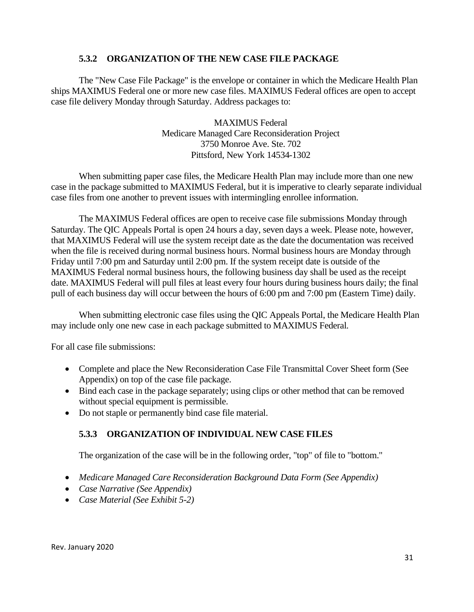#### **5.3.2 ORGANIZATION OF THE NEW CASE FILE PACKAGE**

The "New Case File Package" is the envelope or container in which the Medicare Health Plan ships MAXIMUS Federal one or more new case files. MAXIMUS Federal offices are open to accept case file delivery Monday through Saturday. Address packages to:

> MAXIMUS Federal Medicare Managed Care Reconsideration Project 3750 Monroe Ave. Ste. 702 Pittsford, New York 14534-1302

When submitting paper case files, the Medicare Health Plan may include more than one new case in the package submitted to MAXIMUS Federal, but it is imperative to clearly separate individual case files from one another to prevent issues with intermingling enrollee information.

The MAXIMUS Federal offices are open to receive case file submissions Monday through Saturday. The QIC Appeals Portal is open 24 hours a day, seven days a week. Please note, however, that MAXIMUS Federal will use the system receipt date as the date the documentation was received when the file is received during normal business hours. Normal business hours are Monday through Friday until 7:00 pm and Saturday until 2:00 pm. If the system receipt date is outside of the MAXIMUS Federal normal business hours, the following business day shall be used as the receipt date. MAXIMUS Federal will pull files at least every four hours during business hours daily; the final pull of each business day will occur between the hours of 6:00 pm and 7:00 pm (Eastern Time) daily.

When submitting electronic case files using the QIC Appeals Portal, the Medicare Health Plan may include only one new case in each package submitted to MAXIMUS Federal.

For all case file submissions:

- · Complete and place the New Reconsideration Case File Transmittal Cover Sheet form (See Appendix) on top of the case file package.
- Bind each case in the package separately; using clips or other method that can be removed without special equipment is permissible.
- · Do not staple or permanently bind case file material.

#### **5.3.3 ORGANIZATION OF INDIVIDUAL NEW CASE FILES**

The organization of the case will be in the following order, "top" of file to "bottom."

- · *Medicare Managed Care Reconsideration Background Data Form (See Appendix)*
- · *Case Narrative (See Appendix)*
- · *Case Material (See Exhibit 5-2)*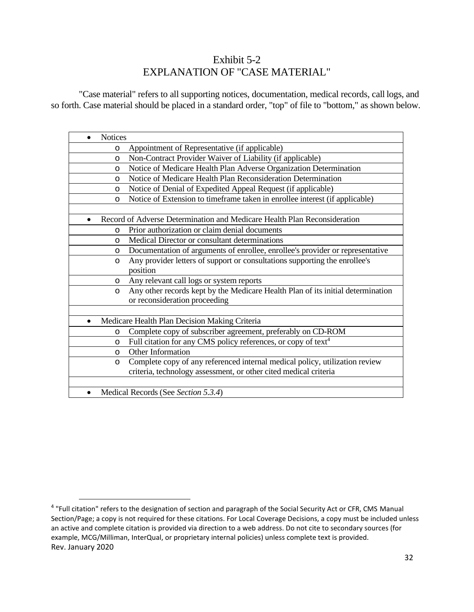# Exhibit 5-2 EXPLANATION OF "CASE MATERIAL"

"Case material" refers to all supporting notices, documentation, medical records, call logs, and so forth. Case material should be placed in a standard order, "top" of file to "bottom," as shown below.

| <b>Notices</b>                                                                             |
|--------------------------------------------------------------------------------------------|
| Appointment of Representative (if applicable)<br>$\circ$                                   |
| Non-Contract Provider Waiver of Liability (if applicable)<br>$\circ$                       |
| Notice of Medicare Health Plan Adverse Organization Determination<br>$\circ$               |
| Notice of Medicare Health Plan Reconsideration Determination<br>$\circ$                    |
| Notice of Denial of Expedited Appeal Request (if applicable)<br>O                          |
| Notice of Extension to timeframe taken in enrollee interest (if applicable)<br>$\circ$     |
|                                                                                            |
| Record of Adverse Determination and Medicare Health Plan Reconsideration                   |
| Prior authorization or claim denial documents<br>O                                         |
| Medical Director or consultant determinations<br>O                                         |
| Documentation of arguments of enrollee, enrollee's provider or representative<br>O         |
| Any provider letters of support or consultations supporting the enrollee's<br>$\circ$      |
| position                                                                                   |
| Any relevant call logs or system reports<br>$\circ$                                        |
| Any other records kept by the Medicare Health Plan of its initial determination<br>$\circ$ |
| or reconsideration proceeding                                                              |
|                                                                                            |
| Medicare Health Plan Decision Making Criteria                                              |
| Complete copy of subscriber agreement, preferably on CD-ROM<br>O                           |
| Full citation for any CMS policy references, or copy of text <sup>4</sup><br>O             |
| Other Information<br>$\circ$                                                               |
| Complete copy of any referenced internal medical policy, utilization review<br>O           |
| criteria, technology assessment, or other cited medical criteria                           |
|                                                                                            |
| Medical Records (See Section 5.3.4)<br>٠                                                   |

Rev. January 2020 <sup>4</sup> "Full citation" refers to the designation of section and paragraph of the Social Security Act or CFR, CMS Manual Section/Page; a copy is not required for these citations. For Local Coverage Decisions, a copy must be included unless an active and complete citation is provided via direction to a web address. Do not cite to secondary sources (for example, MCG/Milliman, InterQual, or proprietary internal policies) unless complete text is provided.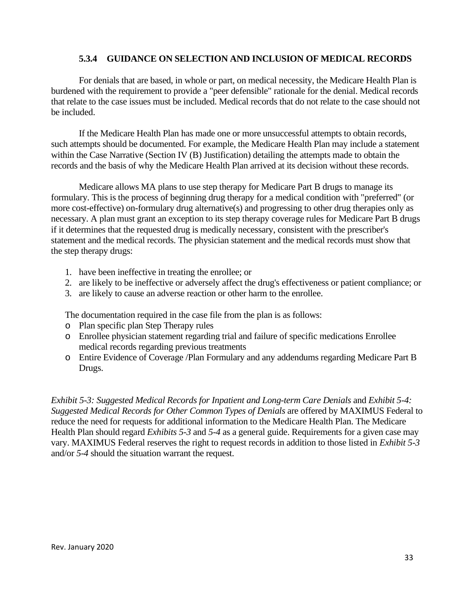#### **5.3.4 GUIDANCE ON SELECTION AND INCLUSION OF MEDICAL RECORDS**

For denials that are based, in whole or part, on medical necessity, the Medicare Health Plan is burdened with the requirement to provide a "peer defensible" rationale for the denial. Medical records that relate to the case issues must be included. Medical records that do not relate to the case should not be included.

If the Medicare Health Plan has made one or more unsuccessful attempts to obtain records, such attempts should be documented. For example, the Medicare Health Plan may include a statement within the Case Narrative (Section IV (B) Justification) detailing the attempts made to obtain the records and the basis of why the Medicare Health Plan arrived at its decision without these records.

Medicare allows MA plans to use step therapy for Medicare Part B drugs to manage its formulary. This is the process of beginning drug therapy for a medical condition with "preferred" (or more cost-effective) on-formulary drug alternative(s) and progressing to other drug therapies only as necessary. A plan must grant an exception to its step therapy coverage rules for Medicare Part B drugs if it determines that the requested drug is medically necessary, consistent with the prescriber's statement and the medical records. The physician statement and the medical records must show that the step therapy drugs:

- 1. have been ineffective in treating the enrollee; or
- 2. are likely to be ineffective or adversely affect the drug's effectiveness or patient compliance; or
- 3. are likely to cause an adverse reaction or other harm to the enrollee.

The documentation required in the case file from the plan is as follows:

- o Plan specific plan Step Therapy rules
- o Enrollee physician statement regarding trial and failure of specific medications Enrollee medical records regarding previous treatments
- o Entire Evidence of Coverage /Plan Formulary and any addendums regarding Medicare Part B Drugs.

*Exhibit 5-3: Suggested Medical Records for Inpatient and Long-term Care Denials* and *Exhibit 5-4: Suggested Medical Records for Other Common Types of Denials* are offered by MAXIMUS Federal to reduce the need for requests for additional information to the Medicare Health Plan. The Medicare Health Plan should regard *Exhibits 5-3* and *5-4* as a general guide. Requirements for a given case may vary. MAXIMUS Federal reserves the right to request records in addition to those listed in *Exhibit 5-3* and/or *5-4* should the situation warrant the request.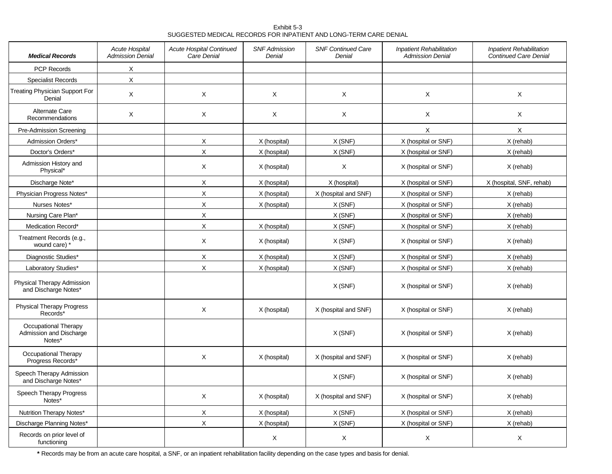Exhibit 5-3 SUGGESTED MEDICAL RECORDS FOR INPATIENT AND LONG-TERM CARE DENIAL

| <b>Medical Records</b>                                    | <b>Acute Hospital</b><br><b>Admission Denial</b> | Acute Hospital Continued<br>Care Denial | <b>SNF Admission</b><br>Denial | <b>SNF Continued Care</b><br>Denial | <b>Inpatient Rehabilitation</b><br><b>Admission Denial</b> | <b>Inpatient Rehabilitation</b><br><b>Continued Care Denial</b> |
|-----------------------------------------------------------|--------------------------------------------------|-----------------------------------------|--------------------------------|-------------------------------------|------------------------------------------------------------|-----------------------------------------------------------------|
| PCP Records                                               | X                                                |                                         |                                |                                     |                                                            |                                                                 |
| <b>Specialist Records</b>                                 | $\sf X$                                          |                                         |                                |                                     |                                                            |                                                                 |
| <b>Treating Physician Support For</b><br>Denial           | X                                                | X                                       | X                              | X                                   | X                                                          | X                                                               |
| Alternate Care<br>Recommendations                         | X                                                | X                                       | X                              | X                                   | X                                                          | $\times$                                                        |
| Pre-Admission Screening                                   |                                                  |                                         |                                |                                     | X                                                          | X                                                               |
| Admission Orders*                                         |                                                  | X                                       | X (hospital)                   | X(SNF)                              | X (hospital or SNF)                                        | X (rehab)                                                       |
| Doctor's Orders*                                          |                                                  | $\mathsf X$                             | X (hospital)                   | X(SNF)                              | X (hospital or SNF)                                        | X (rehab)                                                       |
| Admission History and<br>Physical*                        |                                                  | X                                       | X (hospital)                   | X                                   | X (hospital or SNF)                                        | X (rehab)                                                       |
| Discharge Note*                                           |                                                  | X                                       | X (hospital)                   | X (hospital)                        | X (hospital or SNF)                                        | X (hospital, SNF, rehab)                                        |
| Physician Progress Notes*                                 |                                                  | $\mathsf X$                             | X (hospital)                   | X (hospital and SNF)                | X (hospital or SNF)                                        | X (rehab)                                                       |
| Nurses Notes*                                             |                                                  | $\mathsf X$                             | X (hospital)                   | X(SNF)                              | X (hospital or SNF)                                        | X (rehab)                                                       |
| Nursing Care Plan*                                        |                                                  | $\mathsf X$                             |                                | X(SNF)                              | X (hospital or SNF)                                        | X (rehab)                                                       |
| Medication Record*                                        |                                                  | X                                       | X (hospital)                   | X(SNF)                              | X (hospital or SNF)                                        | X (rehab)                                                       |
| Treatment Records (e.g.,<br>wound care) *                 |                                                  | X                                       | X (hospital)                   | X(SNF)                              | X (hospital or SNF)                                        | X (rehab)                                                       |
| Diagnostic Studies*                                       |                                                  | X                                       | X (hospital)                   | X(SNF)                              | X (hospital or SNF)                                        | X (rehab)                                                       |
| Laboratory Studies*                                       |                                                  | X                                       | X (hospital)                   | X(SNF)                              | X (hospital or SNF)                                        | X (rehab)                                                       |
| Physical Therapy Admission<br>and Discharge Notes*        |                                                  |                                         |                                | X(SNF)                              | X (hospital or SNF)                                        | X (rehab)                                                       |
| <b>Physical Therapy Progress</b><br>Records*              |                                                  | X                                       | X (hospital)                   | X (hospital and SNF)                | X (hospital or SNF)                                        | X (rehab)                                                       |
| Occupational Therapy<br>Admission and Discharge<br>Notes* |                                                  |                                         |                                | X (SNF)                             | X (hospital or SNF)                                        | X (rehab)                                                       |
| Occupational Therapy<br>Progress Records'                 |                                                  | X                                       | X (hospital)                   | X (hospital and SNF)                | X (hospital or SNF)                                        | X (rehab)                                                       |
| Speech Therapy Admission<br>and Discharge Notes*          |                                                  |                                         |                                | X(SNF)                              | X (hospital or SNF)                                        | X (rehab)                                                       |
| Speech Therapy Progress<br>Notes*                         |                                                  | X                                       | X (hospital)                   | X (hospital and SNF)                | X (hospital or SNF)                                        | X (rehab)                                                       |
| Nutrition Therapy Notes*                                  |                                                  | X                                       | X (hospital)                   | X(SNF)                              | X (hospital or SNF)                                        | X (rehab)                                                       |
| Discharge Planning Notes*                                 |                                                  | X                                       | X (hospital)                   | X(SNF)                              | X (hospital or SNF)                                        | X (rehab)                                                       |
| Records on prior level of<br>functioning                  |                                                  |                                         | $\times$                       | X                                   | X                                                          | X                                                               |

**\*** Records may be from an acute care hospital, a SNF, or an inpatient rehabilitation facility depending on the case types and basis for denial.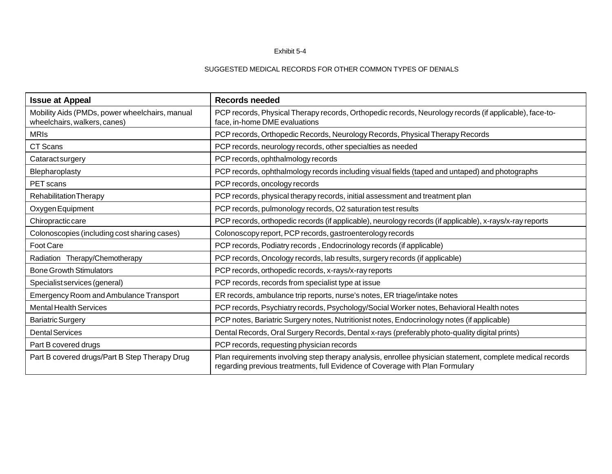#### Exhibit 5-4

#### SUGGESTED MEDICAL RECORDS FOR OTHER COMMON TYPES OF DENIALS

| <b>Issue at Appeal</b>                                                         | <b>Records needed</b>                                                                                                                                                                     |  |
|--------------------------------------------------------------------------------|-------------------------------------------------------------------------------------------------------------------------------------------------------------------------------------------|--|
| Mobility Aids (PMDs, power wheelchairs, manual<br>wheelchairs, walkers, canes) | PCP records, Physical Therapy records, Orthopedic records, Neurology records (if applicable), face-to-<br>face, in-home DME evaluations                                                   |  |
| <b>MRIS</b>                                                                    | PCP records, Orthopedic Records, Neurology Records, Physical Therapy Records                                                                                                              |  |
| CT Scans                                                                       | PCP records, neurology records, other specialties as needed                                                                                                                               |  |
| Cataractsurgery                                                                | PCP records, ophthalmology records                                                                                                                                                        |  |
| Blepharoplasty                                                                 | PCP records, ophthalmology records including visual fields (taped and untaped) and photographs                                                                                            |  |
| PET scans                                                                      | PCP records, oncology records                                                                                                                                                             |  |
| <b>Rehabilitation Therapy</b>                                                  | PCP records, physical therapy records, initial assessment and treatment plan                                                                                                              |  |
| Oxygen Equipment                                                               | PCP records, pulmonology records, O2 saturation test results                                                                                                                              |  |
| Chiropractic care                                                              | PCP records, orthopedic records (if applicable), neurology records (if applicable), x-rays/x-ray reports                                                                                  |  |
| Colonoscopies (including cost sharing cases)                                   | Colonoscopy report, PCP records, gastroenterology records                                                                                                                                 |  |
| Foot Care                                                                      | PCP records, Podiatry records, Endocrinology records (if applicable)                                                                                                                      |  |
| Radiation Therapy/Chemotherapy                                                 | PCP records, Oncology records, lab results, surgery records (if applicable)                                                                                                               |  |
| <b>Bone Growth Stimulators</b>                                                 | PCP records, orthopedic records, x-rays/x-ray reports                                                                                                                                     |  |
| Specialist services (general)                                                  | PCP records, records from specialist type at issue                                                                                                                                        |  |
| <b>Emergency Room and Ambulance Transport</b>                                  | ER records, ambulance trip reports, nurse's notes, ER triage/intake notes                                                                                                                 |  |
| <b>Mental Health Services</b>                                                  | PCP records, Psychiatry records, Psychology/Social Worker notes, Behavioral Health notes                                                                                                  |  |
| <b>Bariatric Surgery</b>                                                       | PCP notes, Bariatric Surgery notes, Nutritionist notes, Endocrinology notes (if applicable)                                                                                               |  |
| <b>Dental Services</b>                                                         | Dental Records, Oral Surgery Records, Dental x-rays (preferably photo-quality digital prints)                                                                                             |  |
| Part B covered drugs                                                           | PCP records, requesting physician records                                                                                                                                                 |  |
| Part B covered drugs/Part B Step Therapy Drug                                  | Plan requirements involving step therapy analysis, enrollee physician statement, complete medical records<br>regarding previous treatments, full Evidence of Coverage with Plan Formulary |  |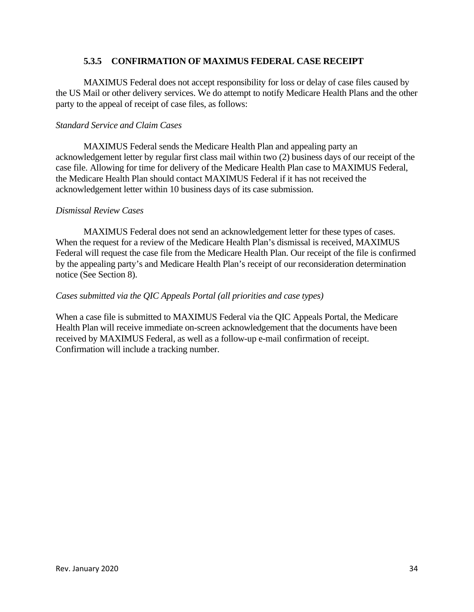#### **5.3.5 CONFIRMATION OF MAXIMUS FEDERAL CASE RECEIPT**

MAXIMUS Federal does not accept responsibility for loss or delay of case files caused by the US Mail or other delivery services. We do attempt to notify Medicare Health Plans and the other party to the appeal of receipt of case files, as follows:

#### *Standard Service and Claim Cases*

MAXIMUS Federal sends the Medicare Health Plan and appealing party an acknowledgement letter by regular first class mail within two (2) business days of our receipt of the case file. Allowing for time for delivery of the Medicare Health Plan case to MAXIMUS Federal, the Medicare Health Plan should contact MAXIMUS Federal if it has not received the acknowledgement letter within 10 business days of its case submission.

#### *Dismissal Review Cases*

MAXIMUS Federal does not send an acknowledgement letter for these types of cases. When the request for a review of the Medicare Health Plan's dismissal is received, MAXIMUS Federal will request the case file from the Medicare Health Plan. Our receipt of the file is confirmed by the appealing party's and Medicare Health Plan's receipt of our reconsideration determination notice (See Section 8).

#### *Cases submitted via the QIC Appeals Portal (all priorities and case types)*

When a case file is submitted to MAXIMUS Federal via the QIC Appeals Portal, the Medicare Health Plan will receive immediate on-screen acknowledgement that the documents have been received by MAXIMUS Federal, as well as a follow-up e-mail confirmation of receipt. Confirmation will include a tracking number.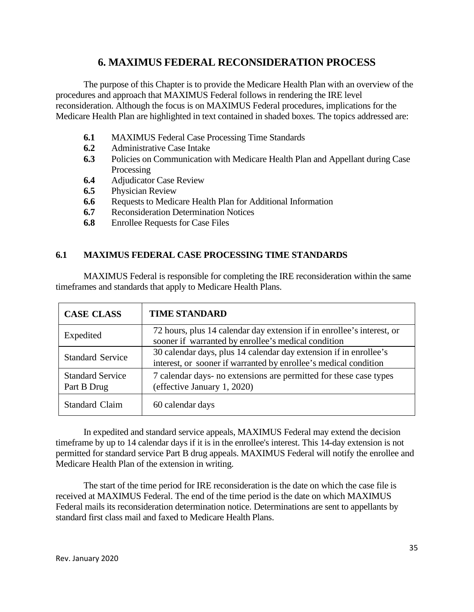# **6. MAXIMUS FEDERAL RECONSIDERATION PROCESS**

The purpose of this Chapter is to provide the Medicare Health Plan with an overview of the procedures and approach that MAXIMUS Federal follows in rendering the IRE level reconsideration. Although the focus is on MAXIMUS Federal procedures, implications for the Medicare Health Plan are highlighted in text contained in shaded boxes. The topics addressed are:

- **6.1** MAXIMUS Federal Case Processing Time Standards
- **6.2** Administrative Case Intake
- **6.3** Policies on Communication with Medicare Health Plan and Appellant during Case Processing
- **6.4** Adjudicator Case Review
- **6.5** Physician Review
- **6.6** Requests to Medicare Health Plan for Additional Information
- **6.7** Reconsideration Determination Notices
- **6.8** Enrollee Requests for Case Files

# **6.1 MAXIMUS FEDERAL CASE PROCESSING TIME STANDARDS**

MAXIMUS Federal is responsible for completing the IRE reconsideration within the same timeframes and standards that apply to Medicare Health Plans.

| <b>CASE CLASS</b>                      | <b>TIME STANDARD</b>                                                                                                                  |
|----------------------------------------|---------------------------------------------------------------------------------------------------------------------------------------|
| Expedited                              | 72 hours, plus 14 calendar day extension if in enrollee's interest, or<br>sooner if warranted by enrollee's medical condition         |
| <b>Standard Service</b>                | 30 calendar days, plus 14 calendar day extension if in enrollee's<br>interest, or sooner if warranted by enrollee's medical condition |
| <b>Standard Service</b><br>Part B Drug | 7 calendar days- no extensions are permitted for these case types<br>(effective January 1, 2020)                                      |
| <b>Standard Claim</b>                  | 60 calendar days                                                                                                                      |

In expedited and standard service appeals, MAXIMUS Federal may extend the decision timeframe by up to 14 calendar days if it is in the enrollee's interest. This 14-day extension is not permitted for standard service Part B drug appeals. MAXIMUS Federal will notify the enrollee and Medicare Health Plan of the extension in writing.

The start of the time period for IRE reconsideration is the date on which the case file is received at MAXIMUS Federal. The end of the time period is the date on which MAXIMUS Federal mails its reconsideration determination notice. Determinations are sent to appellants by standard first class mail and faxed to Medicare Health Plans.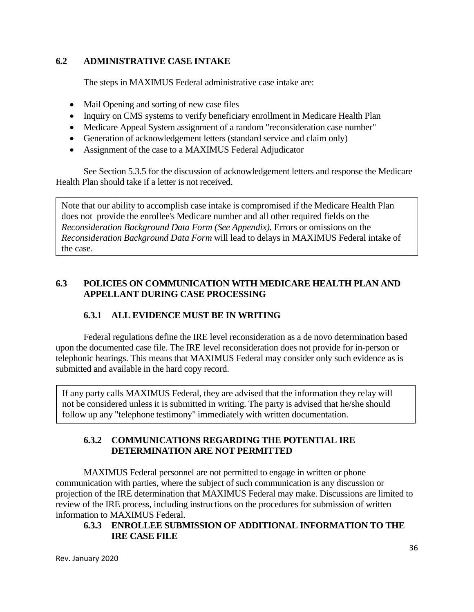# **6.2 ADMINISTRATIVE CASE INTAKE**

The steps in MAXIMUS Federal administrative case intake are:

- Mail Opening and sorting of new case files
- Inquiry on CMS systems to verify beneficiary enrollment in Medicare Health Plan
- · Medicare Appeal System assignment of a random "reconsideration case number"
- Generation of acknowledgement letters (standard service and claim only)
- Assignment of the case to a MAXIMUS Federal Adjudicator

See Section 5.3.5 for the discussion of acknowledgement letters and response the Medicare Health Plan should take if a letter is not received.

Note that our ability to accomplish case intake is compromised if the Medicare Health Plan does not provide the enrollee's Medicare number and all other required fields on the *Reconsideration Background Data Form (See Appendix).* Errors or omissions on the *Reconsideration Background Data Form* will lead to delays in MAXIMUS Federal intake of the case.

# **6.3 POLICIES ON COMMUNICATION WITH MEDICARE HEALTH PLAN AND APPELLANT DURING CASE PROCESSING**

# **6.3.1 ALL EVIDENCE MUST BE IN WRITING**

Federal regulations define the IRE level reconsideration as a de novo determination based upon the documented case file. The IRE level reconsideration does not provide for in-person or telephonic hearings. This means that MAXIMUS Federal may consider only such evidence as is submitted and available in the hard copy record.

If any party calls MAXIMUS Federal, they are advised that the information they relay will not be considered unless it is submitted in writing. The party is advised that he/she should follow up any "telephone testimony" immediately with written documentation.

# **6.3.2 COMMUNICATIONS REGARDING THE POTENTIAL IRE DETERMINATION ARE NOT PERMITTED**

MAXIMUS Federal personnel are not permitted to engage in written or phone communication with parties, where the subject of such communication is any discussion or projection of the IRE determination that MAXIMUS Federal may make. Discussions are limited to review of the IRE process, including instructions on the procedures for submission of written information to MAXIMUS Federal.

# **6.3.3 ENROLLEE SUBMISSION OF ADDITIONAL INFORMATION TO THE IRE CASE FILE**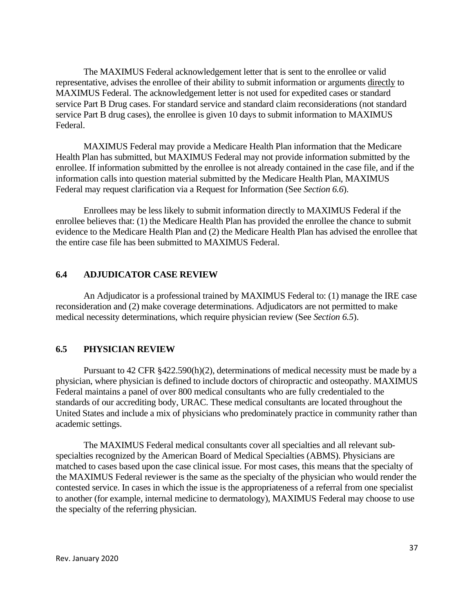The MAXIMUS Federal acknowledgement letter that is sent to the enrollee or valid representative, advises the enrollee of their ability to submit information or arguments directly to MAXIMUS Federal. The acknowledgement letter is not used for expedited cases or standard service Part B Drug cases. For standard service and standard claim reconsiderations (not standard service Part B drug cases), the enrollee is given 10 days to submit information to MAXIMUS Federal.

MAXIMUS Federal may provide a Medicare Health Plan information that the Medicare Health Plan has submitted, but MAXIMUS Federal may not provide information submitted by the enrollee. If information submitted by the enrollee is not already contained in the case file, and if the information calls into question material submitted by the Medicare Health Plan, MAXIMUS Federal may request clarification via a Request for Information (See *Section 6.6*).

Enrollees may be less likely to submit information directly to MAXIMUS Federal if the enrollee believes that: (1) the Medicare Health Plan has provided the enrollee the chance to submit evidence to the Medicare Health Plan and (2) the Medicare Health Plan has advised the enrollee that the entire case file has been submitted to MAXIMUS Federal.

#### **6.4 ADJUDICATOR CASE REVIEW**

An Adjudicator is a professional trained by MAXIMUS Federal to: (1) manage the IRE case reconsideration and (2) make coverage determinations. Adjudicators are not permitted to make medical necessity determinations, which require physician review (See *Section 6.5*).

#### **6.5 PHYSICIAN REVIEW**

Pursuant to 42 CFR §422.590(h)(2), determinations of medical necessity must be made by a physician, where physician is defined to include doctors of chiropractic and osteopathy. MAXIMUS Federal maintains a panel of over 800 medical consultants who are fully credentialed to the standards of our accrediting body, URAC. These medical consultants are located throughout the United States and include a mix of physicians who predominately practice in community rather than academic settings.

The MAXIMUS Federal medical consultants cover all specialties and all relevant subspecialties recognized by the American Board of Medical Specialties (ABMS). Physicians are matched to cases based upon the case clinical issue. For most cases, this means that the specialty of the MAXIMUS Federal reviewer is the same as the specialty of the physician who would render the contested service. In cases in which the issue is the appropriateness of a referral from one specialist to another (for example, internal medicine to dermatology), MAXIMUS Federal may choose to use the specialty of the referring physician.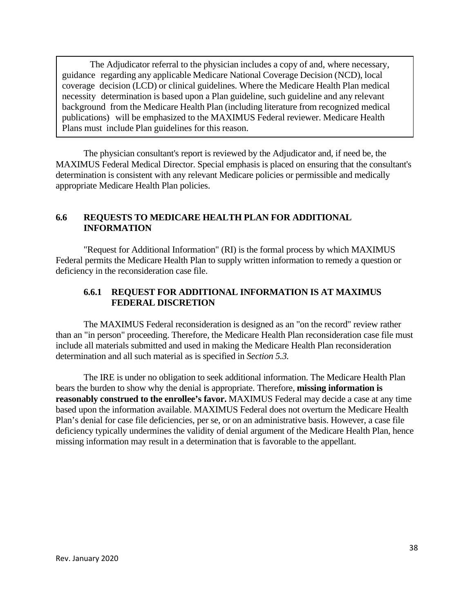The Adjudicator referral to the physician includes a copy of and, where necessary, guidance regarding any applicable Medicare National Coverage Decision (NCD), local coverage decision (LCD) or clinical guidelines. Where the Medicare Health Plan medical necessity determination is based upon a Plan guideline, such guideline and any relevant background from the Medicare Health Plan (including literature from recognized medical publications) will be emphasized to the MAXIMUS Federal reviewer. Medicare Health Plans must include Plan guidelines for this reason.

The physician consultant's report is reviewed by the Adjudicator and, if need be, the MAXIMUS Federal Medical Director. Special emphasis is placed on ensuring that the consultant's determination is consistent with any relevant Medicare policies or permissible and medically appropriate Medicare Health Plan policies.

#### **6.6 REQUESTS TO MEDICARE HEALTH PLAN FOR ADDITIONAL INFORMATION**

"Request for Additional Information" (RI) is the formal process by which MAXIMUS Federal permits the Medicare Health Plan to supply written information to remedy a question or deficiency in the reconsideration case file.

# **6.6.1 REQUEST FOR ADDITIONAL INFORMATION IS AT MAXIMUS FEDERAL DISCRETION**

The MAXIMUS Federal reconsideration is designed as an "on the record" review rather than an "in person" proceeding. Therefore, the Medicare Health Plan reconsideration case file must include all materials submitted and used in making the Medicare Health Plan reconsideration determination and all such material as is specified in *Section 5.3.*

The IRE is under no obligation to seek additional information. The Medicare Health Plan bears the burden to show why the denial is appropriate. Therefore, **missing information is reasonably construed to the enrollee's favor.** MAXIMUS Federal may decide a case at any time based upon the information available. MAXIMUS Federal does not overturn the Medicare Health Plan's denial for case file deficiencies, per se, or on an administrative basis. However, a case file deficiency typically undermines the validity of denial argument of the Medicare Health Plan, hence missing information may result in a determination that is favorable to the appellant.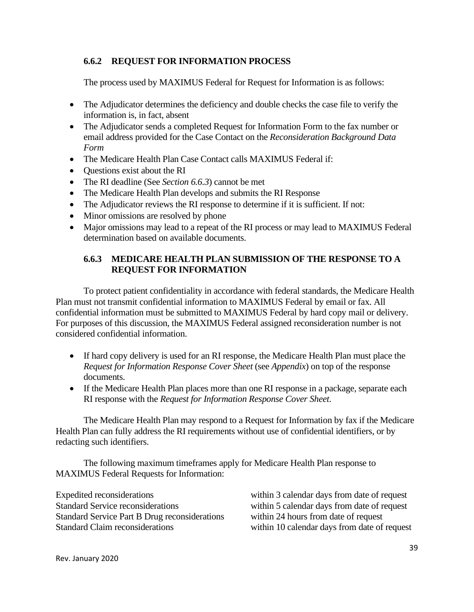# **6.6.2 REQUEST FOR INFORMATION PROCESS**

The process used by MAXIMUS Federal for Request for Information is as follows:

- The Adjudicator determines the deficiency and double checks the case file to verify the information is, in fact, absent
- · The Adjudicator sends a completed Request for Information Form to the fax number or email address provided for the Case Contact on the *Reconsideration Background Data Form*
- The Medicare Health Plan Case Contact calls MAXIMUS Federal if:
- · Questions exist about the RI
- · The RI deadline (See *Section 6.6.3*) cannot be met
- The Medicare Health Plan develops and submits the RI Response
- The Adjudicator reviews the RI response to determine if it is sufficient. If not:
- Minor omissions are resolved by phone
- Major omissions may lead to a repeat of the RI process or may lead to MAXIMUS Federal determination based on available documents.

# **6.6.3 MEDICARE HEALTH PLAN SUBMISSION OF THE RESPONSE TO A REQUEST FOR INFORMATION**

To protect patient confidentiality in accordance with federal standards, the Medicare Health Plan must not transmit confidential information to MAXIMUS Federal by email or fax. All confidential information must be submitted to MAXIMUS Federal by hard copy mail or delivery. For purposes of this discussion, the MAXIMUS Federal assigned reconsideration number is not considered confidential information.

- · If hard copy delivery is used for an RI response, the Medicare Health Plan must place the *Request for Information Response Cover Sheet* (see *Appendix*) on top of the response documents.
- · If the Medicare Health Plan places more than one RI response in a package, separate each RI response with the *Request for Information Response Cover Sheet*.

The Medicare Health Plan may respond to a Request for Information by fax if the Medicare Health Plan can fully address the RI requirements without use of confidential identifiers, or by redacting such identifiers.

The following maximum timeframes apply for Medicare Health Plan response to MAXIMUS Federal Requests for Information:

| Expedited reconsiderations                           | within 3 calendar days from date of request  |
|------------------------------------------------------|----------------------------------------------|
| <b>Standard Service reconsiderations</b>             | within 5 calendar days from date of request  |
| <b>Standard Service Part B Drug reconsiderations</b> | within 24 hours from date of request         |
| <b>Standard Claim reconsiderations</b>               | within 10 calendar days from date of request |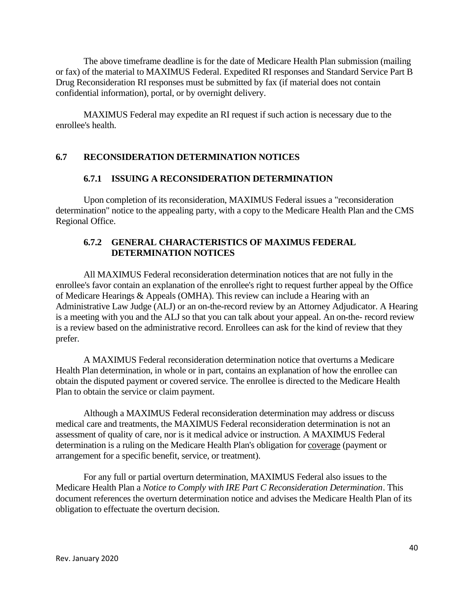The above timeframe deadline is for the date of Medicare Health Plan submission (mailing or fax) of the material to MAXIMUS Federal. Expedited RI responses and Standard Service Part B Drug Reconsideration RI responses must be submitted by fax (if material does not contain confidential information), portal, or by overnight delivery.

MAXIMUS Federal may expedite an RI request if such action is necessary due to the enrollee's health.

#### **6.7 RECONSIDERATION DETERMINATION NOTICES**

#### **6.7.1 ISSUING A RECONSIDERATION DETERMINATION**

Upon completion of its reconsideration, MAXIMUS Federal issues a "reconsideration determination" notice to the appealing party, with a copy to the Medicare Health Plan and the CMS Regional Office.

#### **6.7.2 GENERAL CHARACTERISTICS OF MAXIMUS FEDERAL DETERMINATION NOTICES**

All MAXIMUS Federal reconsideration determination notices that are not fully in the enrollee's favor contain an explanation of the enrollee's right to request further appeal by the Office of Medicare Hearings & Appeals (OMHA). This review can include a Hearing with an Administrative Law Judge (ALJ) or an on-the-record review by an Attorney Adjudicator. A Hearing is a meeting with you and the ALJ so that you can talk about your appeal. An on-the- record review is a review based on the administrative record. Enrollees can ask for the kind of review that they prefer.

A MAXIMUS Federal reconsideration determination notice that overturns a Medicare Health Plan determination, in whole or in part, contains an explanation of how the enrollee can obtain the disputed payment or covered service. The enrollee is directed to the Medicare Health Plan to obtain the service or claim payment.

Although a MAXIMUS Federal reconsideration determination may address or discuss medical care and treatments, the MAXIMUS Federal reconsideration determination is not an assessment of quality of care, nor is it medical advice or instruction. A MAXIMUS Federal determination is a ruling on the Medicare Health Plan's obligation for coverage (payment or arrangement for a specific benefit, service, or treatment).

For any full or partial overturn determination, MAXIMUS Federal also issues to the Medicare Health Plan a *Notice to Comply with IRE Part C Reconsideration Determination*. This document references the overturn determination notice and advises the Medicare Health Plan of its obligation to effectuate the overturn decision.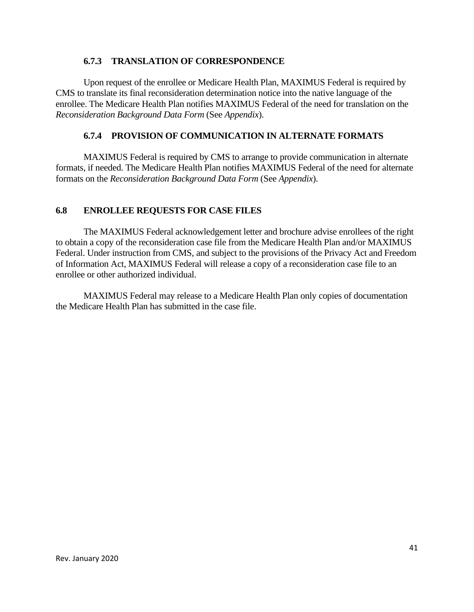#### **6.7.3 TRANSLATION OF CORRESPONDENCE**

Upon request of the enrollee or Medicare Health Plan, MAXIMUS Federal is required by CMS to translate its final reconsideration determination notice into the native language of the enrollee. The Medicare Health Plan notifies MAXIMUS Federal of the need for translation on the *Reconsideration Background Data Form* (See *Appendix*).

#### **6.7.4 PROVISION OF COMMUNICATION IN ALTERNATE FORMATS**

MAXIMUS Federal is required by CMS to arrange to provide communication in alternate formats, if needed. The Medicare Health Plan notifies MAXIMUS Federal of the need for alternate formats on the *Reconsideration Background Data Form* (See *Appendix*).

#### **6.8 ENROLLEE REQUESTS FOR CASE FILES**

The MAXIMUS Federal acknowledgement letter and brochure advise enrollees of the right to obtain a copy of the reconsideration case file from the Medicare Health Plan and/or MAXIMUS Federal. Under instruction from CMS, and subject to the provisions of the Privacy Act and Freedom of Information Act, MAXIMUS Federal will release a copy of a reconsideration case file to an enrollee or other authorized individual.

MAXIMUS Federal may release to a Medicare Health Plan only copies of documentation the Medicare Health Plan has submitted in the case file.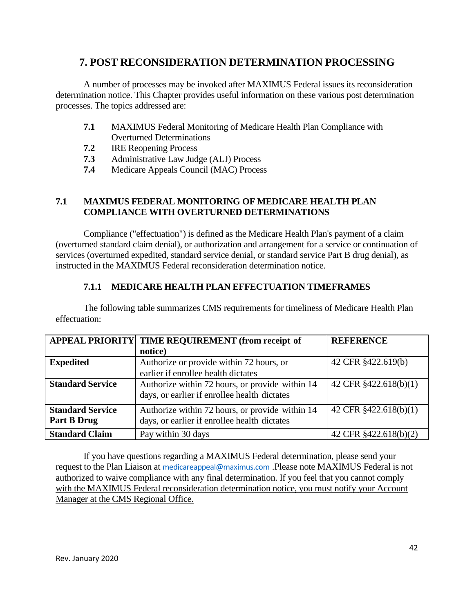# **7. POST RECONSIDERATION DETERMINATION PROCESSING**

A number of processes may be invoked after MAXIMUS Federal issues its reconsideration determination notice. This Chapter provides useful information on these various post determination processes. The topics addressed are:

- **7.1** MAXIMUS Federal Monitoring of Medicare Health Plan Compliance with Overturned Determinations
- **7.2** IRE Reopening Process
- **7.3** Administrative Law Judge (ALJ) Process
- **7.4** Medicare Appeals Council (MAC) Process

# **7.1 MAXIMUS FEDERAL MONITORING OF MEDICARE HEALTH PLAN COMPLIANCE WITH OVERTURNED DETERMINATIONS**

Compliance ("effectuation") is defined as the Medicare Health Plan's payment of a claim (overturned standard claim denial), or authorization and arrangement for a service or continuation of services (overturned expedited, standard service denial, or standard service Part B drug denial), as instructed in the MAXIMUS Federal reconsideration determination notice.

# **7.1.1 MEDICARE HEALTH PLAN EFFECTUATION TIMEFRAMES**

The following table summarizes CMS requirements for timeliness of Medicare Health Plan effectuation:

|                         | APPEAL PRIORITY   TIME REQUIREMENT (from receipt of | <b>REFERENCE</b>      |
|-------------------------|-----------------------------------------------------|-----------------------|
|                         | notice)                                             |                       |
| <b>Expedited</b>        | Authorize or provide within 72 hours, or            | 42 CFR §422.619(b)    |
|                         | earlier if enrollee health dictates                 |                       |
| <b>Standard Service</b> | Authorize within 72 hours, or provide within 14     | 42 CFR §422.618(b)(1) |
|                         | days, or earlier if enrollee health dictates        |                       |
| <b>Standard Service</b> | Authorize within 72 hours, or provide within 14     | 42 CFR §422.618(b)(1) |
| Part B Drug             | days, or earlier if enrollee health dictates        |                       |
| <b>Standard Claim</b>   | Pay within 30 days                                  | 42 CFR §422.618(b)(2) |

If you have questions regarding a MAXIMUS Federal determination, please send your request to the Plan Liaison at [medicareappeal@maximus.com](mailto:medicareappeal@maximus.com) .Please note MAXIMUS Federal is not authorized to waive compliance with any final determination. If you feel that you cannot comply with the MAXIMUS Federal reconsideration determination notice, you must notify your Account Manager at the CMS Regional Office.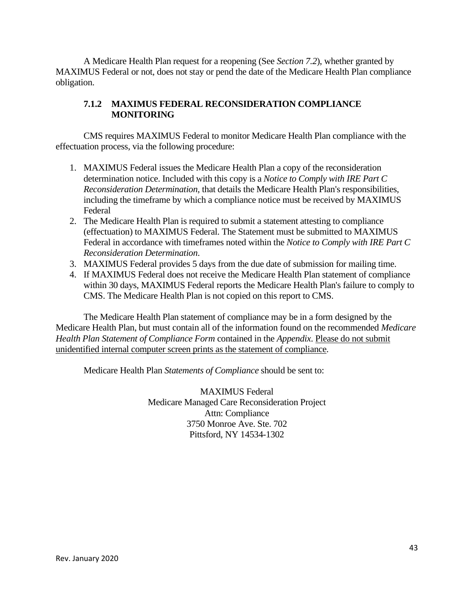A Medicare Health Plan request for a reopening (See *Section 7.2*), whether granted by MAXIMUS Federal or not, does not stay or pend the date of the Medicare Health Plan compliance obligation.

# **7.1.2 MAXIMUS FEDERAL RECONSIDERATION COMPLIANCE MONITORING**

CMS requires MAXIMUS Federal to monitor Medicare Health Plan compliance with the effectuation process, via the following procedure:

- 1. MAXIMUS Federal issues the Medicare Health Plan a copy of the reconsideration determination notice. Included with this copy is a *Notice to Comply with IRE Part C Reconsideration Determination*, that details the Medicare Health Plan's responsibilities, including the timeframe by which a compliance notice must be received by MAXIMUS Federal
- 2. The Medicare Health Plan is required to submit a statement attesting to compliance (effectuation) to MAXIMUS Federal. The Statement must be submitted to MAXIMUS Federal in accordance with timeframes noted within the *Notice to Comply with IRE Part C Reconsideration Determination*.
- 3. MAXIMUS Federal provides 5 days from the due date of submission for mailing time.
- 4. If MAXIMUS Federal does not receive the Medicare Health Plan statement of compliance within 30 days, MAXIMUS Federal reports the Medicare Health Plan's failure to comply to CMS. The Medicare Health Plan is not copied on this report to CMS.

The Medicare Health Plan statement of compliance may be in a form designed by the Medicare Health Plan, but must contain all of the information found on the recommended *Medicare Health Plan Statement of Compliance Form* contained in the *Appendix*. Please do not submit unidentified internal computer screen prints as the statement of compliance.

Medicare Health Plan *Statements of Compliance* should be sent to:

MAXIMUS Federal Medicare Managed Care Reconsideration Project Attn: Compliance 3750 Monroe Ave. Ste. 702 Pittsford, NY 14534-1302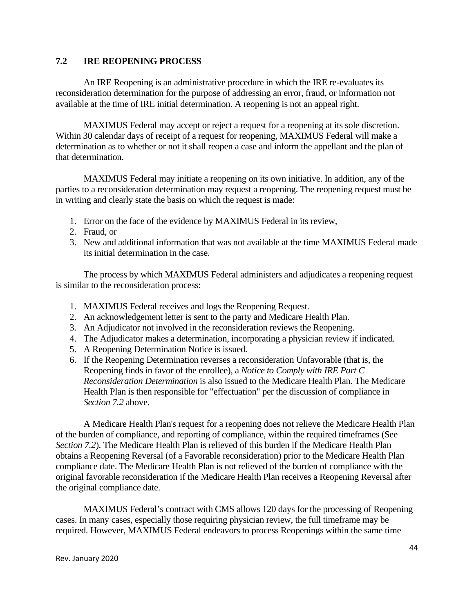#### **7.2 IRE REOPENING PROCESS**

An IRE Reopening is an administrative procedure in which the IRE re-evaluates its reconsideration determination for the purpose of addressing an error, fraud, or information not available at the time of IRE initial determination. A reopening is not an appeal right.

MAXIMUS Federal may accept or reject a request for a reopening at its sole discretion. Within 30 calendar days of receipt of a request for reopening, MAXIMUS Federal will make a determination as to whether or not it shall reopen a case and inform the appellant and the plan of that determination.

MAXIMUS Federal may initiate a reopening on its own initiative. In addition, any of the parties to a reconsideration determination may request a reopening. The reopening request must be in writing and clearly state the basis on which the request is made:

- 1. Error on the face of the evidence by MAXIMUS Federal in its review,
- 2. Fraud, or
- 3. New and additional information that was not available at the time MAXIMUS Federal made its initial determination in the case.

The process by which MAXIMUS Federal administers and adjudicates a reopening request is similar to the reconsideration process:

- 1. MAXIMUS Federal receives and logs the Reopening Request.
- 2. An acknowledgement letter is sent to the party and Medicare Health Plan.
- 3. An Adjudicator not involved in the reconsideration reviews the Reopening.
- 4. The Adjudicator makes a determination, incorporating a physician review if indicated.
- 5. A Reopening Determination Notice is issued.
- 6. If the Reopening Determination reverses a reconsideration Unfavorable (that is, the Reopening finds in favor of the enrollee), a *Notice to Comply with IRE Part C Reconsideration Determination* is also issued to the Medicare Health Plan. The Medicare Health Plan is then responsible for "effectuation" per the discussion of compliance in *Section 7.2* above.

A Medicare Health Plan's request for a reopening does not relieve the Medicare Health Plan of the burden of compliance, and reporting of compliance, within the required timeframes (See *Section 7.2*). The Medicare Health Plan is relieved of this burden if the Medicare Health Plan obtains a Reopening Reversal (of a Favorable reconsideration) prior to the Medicare Health Plan compliance date. The Medicare Health Plan is not relieved of the burden of compliance with the original favorable reconsideration if the Medicare Health Plan receives a Reopening Reversal after the original compliance date.

MAXIMUS Federal's contract with CMS allows 120 days for the processing of Reopening cases. In many cases, especially those requiring physician review, the full timeframe may be required. However, MAXIMUS Federal endeavors to process Reopenings within the same time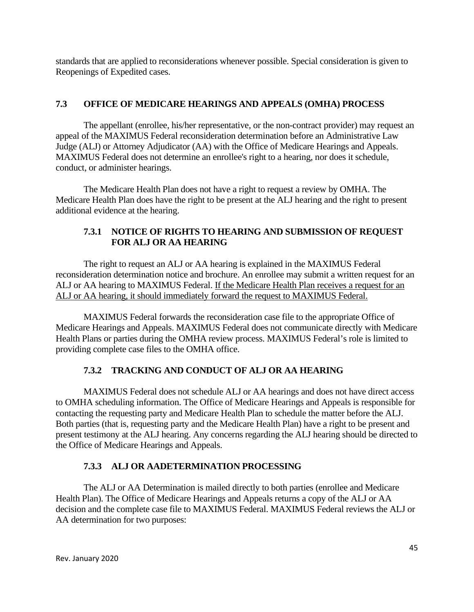standards that are applied to reconsiderations whenever possible. Special consideration is given to Reopenings of Expedited cases.

# **7.3 OFFICE OF MEDICARE HEARINGS AND APPEALS (OMHA) PROCESS**

The appellant (enrollee, his/her representative, or the non-contract provider) may request an appeal of the MAXIMUS Federal reconsideration determination before an Administrative Law Judge (ALJ) or Attorney Adjudicator (AA) with the Office of Medicare Hearings and Appeals. MAXIMUS Federal does not determine an enrollee's right to a hearing, nor does it schedule, conduct, or administer hearings.

The Medicare Health Plan does not have a right to request a review by OMHA. The Medicare Health Plan does have the right to be present at the ALJ hearing and the right to present additional evidence at the hearing.

# **7.3.1 NOTICE OF RIGHTS TO HEARING AND SUBMISSION OF REQUEST FOR ALJ OR AA HEARING**

The right to request an ALJ or AA hearing is explained in the MAXIMUS Federal reconsideration determination notice and brochure. An enrollee may submit a written request for an ALJ or AA hearing to MAXIMUS Federal. If the Medicare Health Plan receives a request for an ALJ or AA hearing, it should immediately forward the request to MAXIMUS Federal.

MAXIMUS Federal forwards the reconsideration case file to the appropriate Office of Medicare Hearings and Appeals. MAXIMUS Federal does not communicate directly with Medicare Health Plans or parties during the OMHA review process. MAXIMUS Federal's role is limited to providing complete case files to the OMHA office.

# **7.3.2 TRACKING AND CONDUCT OF ALJ OR AA HEARING**

MAXIMUS Federal does not schedule ALJ or AA hearings and does not have direct access to OMHA scheduling information. The Office of Medicare Hearings and Appeals is responsible for contacting the requesting party and Medicare Health Plan to schedule the matter before the ALJ. Both parties (that is, requesting party and the Medicare Health Plan) have a right to be present and present testimony at the ALJ hearing. Any concerns regarding the ALJ hearing should be directed to the Office of Medicare Hearings and Appeals.

# **7.3.3 ALJ OR AADETERMINATION PROCESSING**

The ALJ or AA Determination is mailed directly to both parties (enrollee and Medicare Health Plan). The Office of Medicare Hearings and Appeals returns a copy of the ALJ or AA decision and the complete case file to MAXIMUS Federal. MAXIMUS Federal reviews the ALJ or AA determination for two purposes: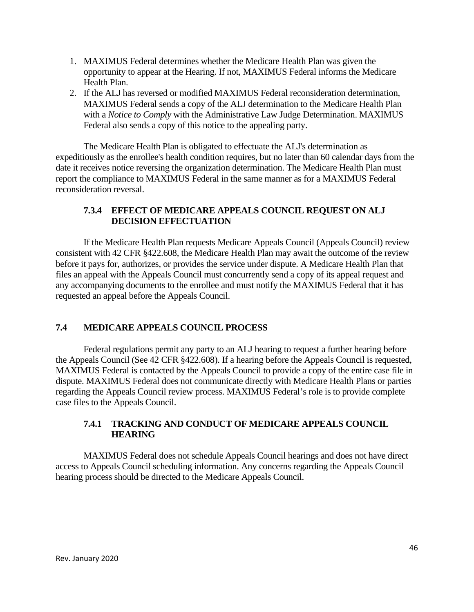- 1. MAXIMUS Federal determines whether the Medicare Health Plan was given the opportunity to appear at the Hearing. If not, MAXIMUS Federal informs the Medicare Health Plan.
- 2. If the ALJ has reversed or modified MAXIMUS Federal reconsideration determination, MAXIMUS Federal sends a copy of the ALJ determination to the Medicare Health Plan with a *Notice to Comply* with the Administrative Law Judge Determination. MAXIMUS Federal also sends a copy of this notice to the appealing party.

The Medicare Health Plan is obligated to effectuate the ALJ's determination as expeditiously as the enrollee's health condition requires, but no later than 60 calendar days from the date it receives notice reversing the organization determination. The Medicare Health Plan must report the compliance to MAXIMUS Federal in the same manner as for a MAXIMUS Federal reconsideration reversal.

#### **7.3.4 EFFECT OF MEDICARE APPEALS COUNCIL REQUEST ON ALJ DECISION EFFECTUATION**

If the Medicare Health Plan requests Medicare Appeals Council (Appeals Council) review consistent with 42 CFR §422.608, the Medicare Health Plan may await the outcome of the review before it pays for, authorizes, or provides the service under dispute. A Medicare Health Plan that files an appeal with the Appeals Council must concurrently send a copy of its appeal request and any accompanying documents to the enrollee and must notify the MAXIMUS Federal that it has requested an appeal before the Appeals Council.

# **7.4 MEDICARE APPEALS COUNCIL PROCESS**

Federal regulations permit any party to an ALJ hearing to request a further hearing before the Appeals Council (See 42 CFR §422.608). If a hearing before the Appeals Council is requested, MAXIMUS Federal is contacted by the Appeals Council to provide a copy of the entire case file in dispute. MAXIMUS Federal does not communicate directly with Medicare Health Plans or parties regarding the Appeals Council review process. MAXIMUS Federal's role is to provide complete case files to the Appeals Council.

#### **7.4.1 TRACKING AND CONDUCT OF MEDICARE APPEALS COUNCIL HEARING**

MAXIMUS Federal does not schedule Appeals Council hearings and does not have direct access to Appeals Council scheduling information. Any concerns regarding the Appeals Council hearing process should be directed to the Medicare Appeals Council.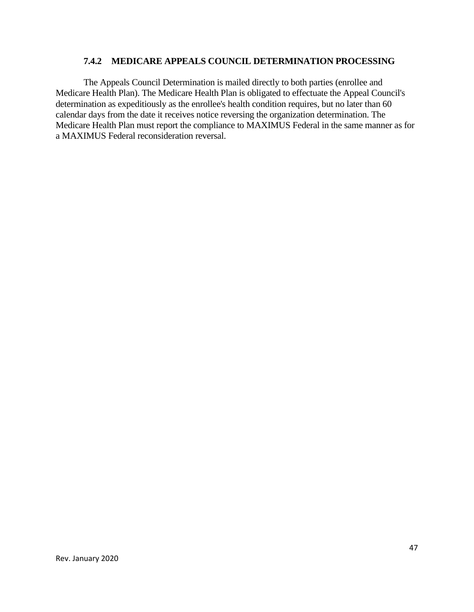#### **7.4.2 MEDICARE APPEALS COUNCIL DETERMINATION PROCESSING**

The Appeals Council Determination is mailed directly to both parties (enrollee and Medicare Health Plan). The Medicare Health Plan is obligated to effectuate the Appeal Council's determination as expeditiously as the enrollee's health condition requires, but no later than 60 calendar days from the date it receives notice reversing the organization determination. The Medicare Health Plan must report the compliance to MAXIMUS Federal in the same manner as for a MAXIMUS Federal reconsideration reversal.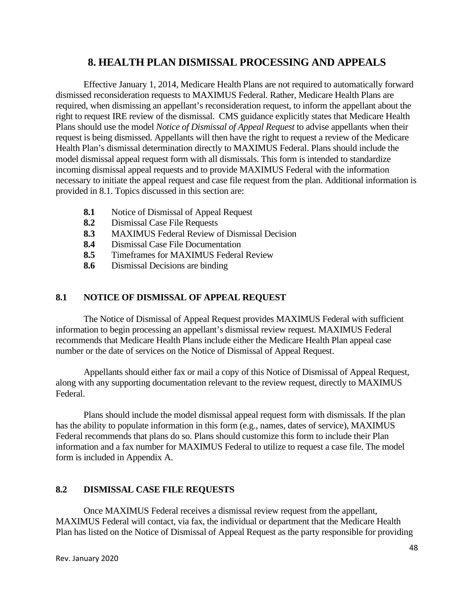# **8. HEALTH PLAN DISMISSAL PROCESSING AND APPEALS**

Effective January 1, 2014, Medicare Health Plans are not required to automatically forward dismissed reconsideration requests to MAXIMUS Federal. Rather, Medicare Health Plans are required, when dismissing an appellant's reconsideration request, to inform the appellant about the right to request IRE review of the dismissal. CMS guidance explicitly states that Medicare Health Plans should use the model *Notice of Dismissal of Appeal Request* to advise appellants when their request is being dismissed. Appellants will then have the right to request a review of the Medicare Health Plan's dismissal determination directly to MAXIMUS Federal. Plans should include the model dismissal appeal request form with all dismissals. This form is intended to standardize incoming dismissal appeal requests and to provide MAXIMUS Federal with the information necessary to initiate the appeal request and case file request from the plan. Additional information is provided in 8.1. Topics discussed in this section are:

- **8.1** Notice of Dismissal of Appeal Request
- **8.2** Dismissal Case File Requests
- **8.3** MAXIMUS Federal Review of Dismissal Decision
- **8.4** Dismissal Case File Documentation
- **8.5** Timeframes for MAXIMUS Federal Review
- **8.6** Dismissal Decisions are binding

#### **8.1 NOTICE OF DISMISSAL OF APPEAL REQUEST**

The Notice of Dismissal of Appeal Request provides MAXIMUS Federal with sufficient information to begin processing an appellant's dismissal review request. MAXIMUS Federal recommends that Medicare Health Plans include either the Medicare Health Plan appeal case number or the date of services on the Notice of Dismissal of Appeal Request.

Appellants should either fax or mail a copy of this Notice of Dismissal of Appeal Request, along with any supporting documentation relevant to the review request, directly to MAXIMUS Federal.

Plans should include the model dismissal appeal request form with dismissals. If the plan has the ability to populate information in this form (e.g., names, dates of service), MAXIMUS Federal recommends that plans do so. Plans should customize this form to include their Plan information and a fax number for MAXIMUS Federal to utilize to request a case file. The model form is included in Appendix A.

#### **8.2 DISMISSAL CASE FILE REQUESTS**

Once MAXIMUS Federal receives a dismissal review request from the appellant, MAXIMUS Federal will contact, via fax, the individual or department that the Medicare Health Plan has listed on the Notice of Dismissal of Appeal Request as the party responsible for providing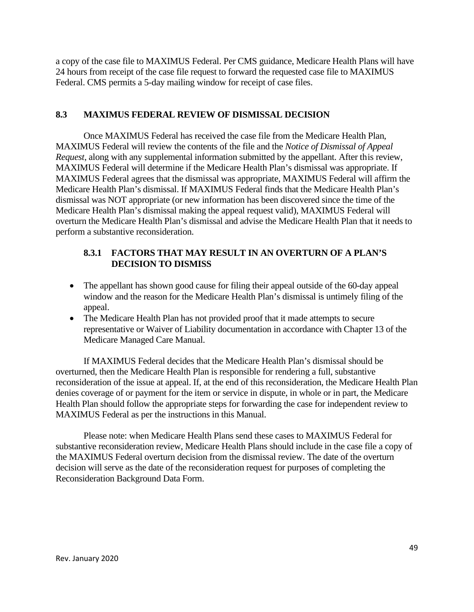a copy of the case file to MAXIMUS Federal. Per CMS guidance, Medicare Health Plans will have 24 hours from receipt of the case file request to forward the requested case file to MAXIMUS Federal. CMS permits a 5-day mailing window for receipt of case files.

#### **8.3 MAXIMUS FEDERAL REVIEW OF DISMISSAL DECISION**

Once MAXIMUS Federal has received the case file from the Medicare Health Plan, MAXIMUS Federal will review the contents of the file and the *Notice of Dismissal of Appeal Request*, along with any supplemental information submitted by the appellant. After this review, MAXIMUS Federal will determine if the Medicare Health Plan's dismissal was appropriate. If MAXIMUS Federal agrees that the dismissal was appropriate, MAXIMUS Federal will affirm the Medicare Health Plan's dismissal. If MAXIMUS Federal finds that the Medicare Health Plan's dismissal was NOT appropriate (or new information has been discovered since the time of the Medicare Health Plan's dismissal making the appeal request valid), MAXIMUS Federal will overturn the Medicare Health Plan's dismissal and advise the Medicare Health Plan that it needs to perform a substantive reconsideration.

#### **8.3.1 FACTORS THAT MAY RESULT IN AN OVERTURN OF A PLAN'S DECISION TO DISMISS**

- The appellant has shown good cause for filing their appeal outside of the 60-day appeal window and the reason for the Medicare Health Plan's dismissal is untimely filing of the appeal.
- · The Medicare Health Plan has not provided proof that it made attempts to secure representative or Waiver of Liability documentation in accordance with Chapter 13 of the Medicare Managed Care Manual.

If MAXIMUS Federal decides that the Medicare Health Plan's dismissal should be overturned, then the Medicare Health Plan is responsible for rendering a full, substantive reconsideration of the issue at appeal. If, at the end of this reconsideration, the Medicare Health Plan denies coverage of or payment for the item or service in dispute, in whole or in part, the Medicare Health Plan should follow the appropriate steps for forwarding the case for independent review to MAXIMUS Federal as per the instructions in this Manual.

Please note: when Medicare Health Plans send these cases to MAXIMUS Federal for substantive reconsideration review, Medicare Health Plans should include in the case file a copy of the MAXIMUS Federal overturn decision from the dismissal review. The date of the overturn decision will serve as the date of the reconsideration request for purposes of completing the Reconsideration Background Data Form.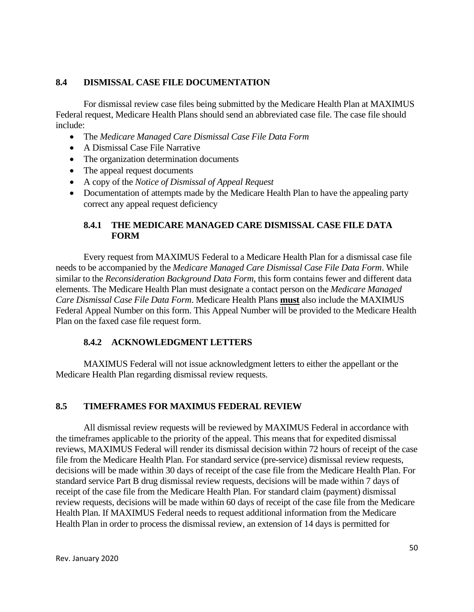#### **8.4 DISMISSAL CASE FILE DOCUMENTATION**

For dismissal review case files being submitted by the Medicare Health Plan at MAXIMUS Federal request, Medicare Health Plans should send an abbreviated case file. The case file should include:

- · The *Medicare Managed Care Dismissal Case File Data Form*
- A Dismissal Case File Narrative
- The organization determination documents
- The appeal request documents
- · A copy of the *Notice of Dismissal of Appeal Request*
- Documentation of attempts made by the Medicare Health Plan to have the appealing party correct any appeal request deficiency

# **8.4.1 THE MEDICARE MANAGED CARE DISMISSAL CASE FILE DATA FORM**

Every request from MAXIMUS Federal to a Medicare Health Plan for a dismissal case file needs to be accompanied by the *Medicare Managed Care Dismissal Case File Data Form*. While similar to the *Reconsideration Background Data Form*, this form contains fewer and different data elements. The Medicare Health Plan must designate a contact person on the *Medicare Managed Care Dismissal Case File Data Form*. Medicare Health Plans **must** also include the MAXIMUS Federal Appeal Number on this form. This Appeal Number will be provided to the Medicare Health Plan on the faxed case file request form.

# **8.4.2 ACKNOWLEDGMENT LETTERS**

MAXIMUS Federal will not issue acknowledgment letters to either the appellant or the Medicare Health Plan regarding dismissal review requests.

# **8.5 TIMEFRAMES FOR MAXIMUS FEDERAL REVIEW**

All dismissal review requests will be reviewed by MAXIMUS Federal in accordance with the timeframes applicable to the priority of the appeal. This means that for expedited dismissal reviews, MAXIMUS Federal will render its dismissal decision within 72 hours of receipt of the case file from the Medicare Health Plan. For standard service (pre-service) dismissal review requests, decisions will be made within 30 days of receipt of the case file from the Medicare Health Plan. For standard service Part B drug dismissal review requests, decisions will be made within 7 days of receipt of the case file from the Medicare Health Plan. For standard claim (payment) dismissal review requests, decisions will be made within 60 days of receipt of the case file from the Medicare Health Plan. If MAXIMUS Federal needs to request additional information from the Medicare Health Plan in order to process the dismissal review, an extension of 14 days is permitted for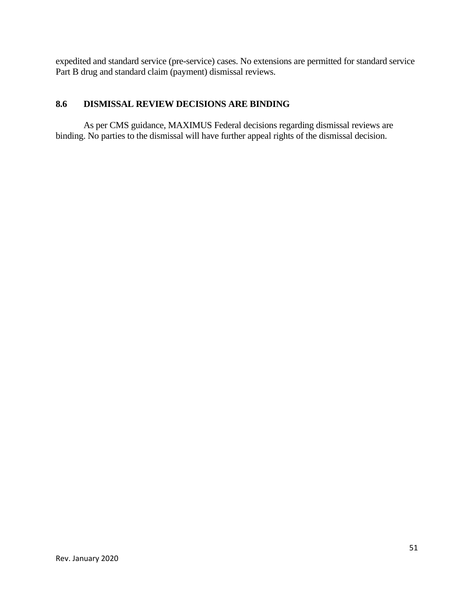expedited and standard service (pre-service) cases. No extensions are permitted for standard service Part B drug and standard claim (payment) dismissal reviews.

# **8.6 DISMISSAL REVIEW DECISIONS ARE BINDING**

As per CMS guidance, MAXIMUS Federal decisions regarding dismissal reviews are binding. No parties to the dismissal will have further appeal rights of the dismissal decision.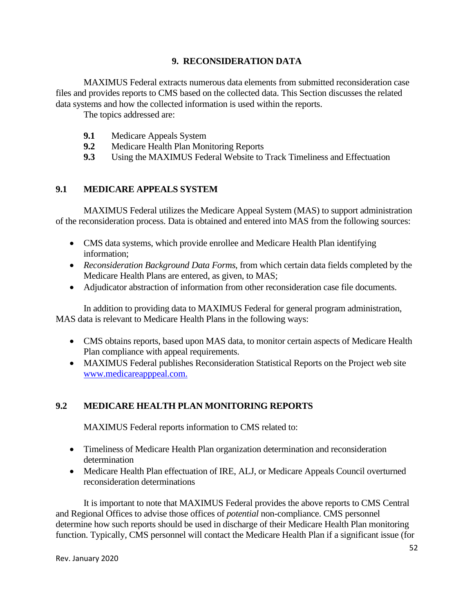#### **9. RECONSIDERATION DATA**

MAXIMUS Federal extracts numerous data elements from submitted reconsideration case files and provides reports to CMS based on the collected data. This Section discusses the related data systems and how the collected information is used within the reports.

The topics addressed are:

- **9.1** Medicare Appeals System
- **9.2** Medicare Health Plan Monitoring Reports
- **9.3** Using the MAXIMUS Federal Website to Track Timeliness and Effectuation

# **9.1 MEDICARE APPEALS SYSTEM**

MAXIMUS Federal utilizes the Medicare Appeal System (MAS) to support administration of the reconsideration process. Data is obtained and entered into MAS from the following sources:

- CMS data systems, which provide enrollee and Medicare Health Plan identifying information;
- · *Reconsideration Background Data Forms*, from which certain data fields completed by the Medicare Health Plans are entered, as given, to MAS;
- · Adjudicator abstraction of information from other reconsideration case file documents.

In addition to providing data to MAXIMUS Federal for general program administration, MAS data is relevant to Medicare Health Plans in the following ways:

- · CMS obtains reports, based upon MAS data, to monitor certain aspects of Medicare Health Plan compliance with appeal requirements.
- MAXIMUS Federal publishes Reconsideration Statistical Reports on the Project web site [www.medicareapppeal.com.](www.medicareapppeal.com)

# **9.2 MEDICARE HEALTH PLAN MONITORING REPORTS**

MAXIMUS Federal reports information to CMS related to:

- · Timeliness of Medicare Health Plan organization determination and reconsideration determination
- · Medicare Health Plan effectuation of IRE, ALJ, or Medicare Appeals Council overturned reconsideration determinations

It is important to note that MAXIMUS Federal provides the above reports to CMS Central and Regional Offices to advise those offices of *potential* non-compliance. CMS personnel determine how such reports should be used in discharge of their Medicare Health Plan monitoring function. Typically, CMS personnel will contact the Medicare Health Plan if a significant issue (for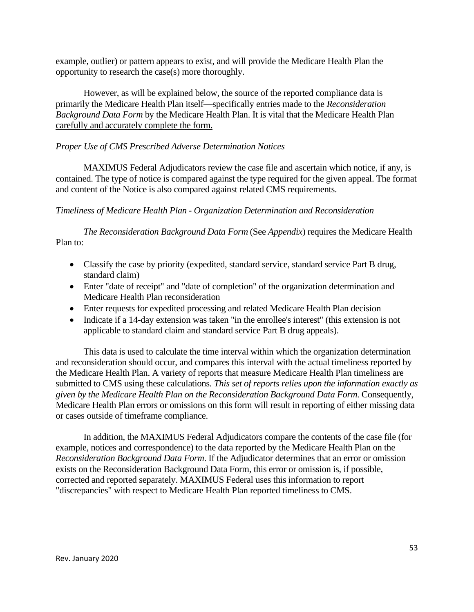example, outlier) or pattern appears to exist, and will provide the Medicare Health Plan the opportunity to research the case(s) more thoroughly.

However, as will be explained below, the source of the reported compliance data is primarily the Medicare Health Plan itself—specifically entries made to the *Reconsideration Background Data Form* by the Medicare Health Plan. It is vital that the Medicare Health Plan carefully and accurately complete the form.

#### *Proper Use of CMS Prescribed Adverse Determination Notices*

MAXIMUS Federal Adjudicators review the case file and ascertain which notice, if any, is contained. The type of notice is compared against the type required for the given appeal. The format and content of the Notice is also compared against related CMS requirements.

#### *Timeliness of Medicare Health Plan - Organization Determination and Reconsideration*

*The Reconsideration Background Data Form* (See *Appendix*) requires the Medicare Health Plan to:

- Classify the case by priority (expedited, standard service, standard service Part B drug, standard claim)
- Enter "date of receipt" and "date of completion" of the organization determination and Medicare Health Plan reconsideration
- · Enter requests for expedited processing and related Medicare Health Plan decision
- Indicate if a 14-day extension was taken "in the enrollee's interest" (this extension is not applicable to standard claim and standard service Part B drug appeals).

This data is used to calculate the time interval within which the organization determination and reconsideration should occur, and compares this interval with the actual timeliness reported by the Medicare Health Plan. A variety of reports that measure Medicare Health Plan timeliness are submitted to CMS using these calculations*. This set of reports relies upon the information exactly as given by the Medicare Health Plan on the Reconsideration Background Data Form*. Consequently, Medicare Health Plan errors or omissions on this form will result in reporting of either missing data or cases outside of timeframe compliance.

In addition, the MAXIMUS Federal Adjudicators compare the contents of the case file (for example, notices and correspondence) to the data reported by the Medicare Health Plan on the *Reconsideration Background Data Form*. If the Adjudicator determines that an error or omission exists on the Reconsideration Background Data Form, this error or omission is, if possible, corrected and reported separately. MAXIMUS Federal uses this information to report "discrepancies" with respect to Medicare Health Plan reported timeliness to CMS.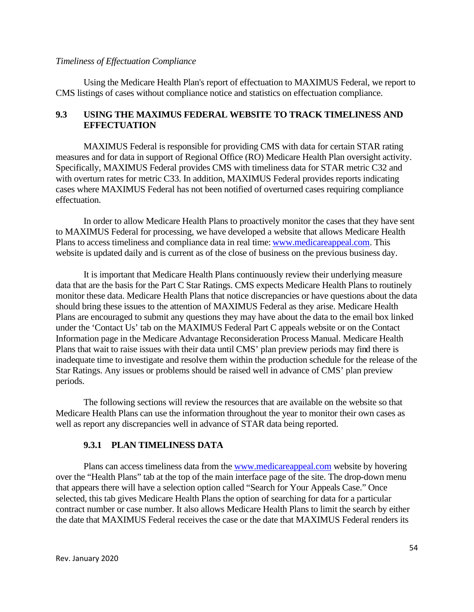#### *Timeliness of Effectuation Compliance*

Using the Medicare Health Plan's report of effectuation to MAXIMUS Federal, we report to CMS listings of cases without compliance notice and statistics on effectuation compliance.

#### **9.3 USING THE MAXIMUS FEDERAL WEBSITE TO TRACK TIMELINESS AND EFFECTUATION**

MAXIMUS Federal is responsible for providing CMS with data for certain STAR rating measures and for data in support of Regional Office (RO) Medicare Health Plan oversight activity. Specifically, MAXIMUS Federal provides CMS with timeliness data for STAR metric C32 and with overturn rates for metric C33. In addition, MAXIMUS Federal provides reports indicating cases where MAXIMUS Federal has not been notified of overturned cases requiring compliance effectuation.

In order to allow Medicare Health Plans to proactively monitor the cases that they have sent to MAXIMUS Federal for processing, we have developed a website that allows Medicare Health Plans to access timeliness and compliance data in real time: [www.medicareappeal.com.](www.medicareappeal.com) This website is updated daily and is current as of the close of business on the previous business day.

It is important that Medicare Health Plans continuously review their underlying measure data that are the basis for the Part C Star Ratings. CMS expects Medicare Health Plans to routinely monitor these data. Medicare Health Plans that notice discrepancies or have questions about the data should bring these issues to the attention of MAXIMUS Federal as they arise. Medicare Health Plans are encouraged to submit any questions they may have about the data to the email box linked under the 'Contact Us' tab on the MAXIMUS Federal Part C appeals website or on the Contact Information page in the Medicare Advantage Reconsideration Process Manual. Medicare Health Plans that wait to raise issues with their data until CMS' plan preview periods may find there is inadequate time to investigate and resolve them within the production schedule for the release of the Star Ratings. Any issues or problems should be raised well in advance of CMS' plan preview periods.

The following sections will review the resources that are available on the website so that Medicare Health Plans can use the information throughout the year to monitor their own cases as well as report any discrepancies well in advance of STAR data being reported.

#### **9.3.1 PLAN TIMELINESS DATA**

Plans can access timeliness data from the <www.medicareappeal.com> website by hovering over the "Health Plans" tab at the top of the main interface page of the site. The drop-down menu that appears there will have a selection option called "Search for Your Appeals Case." Once selected, this tab gives Medicare Health Plans the option of searching for data for a particular contract number or case number. It also allows Medicare Health Plans to limit the search by either the date that MAXIMUS Federal receives the case or the date that MAXIMUS Federal renders its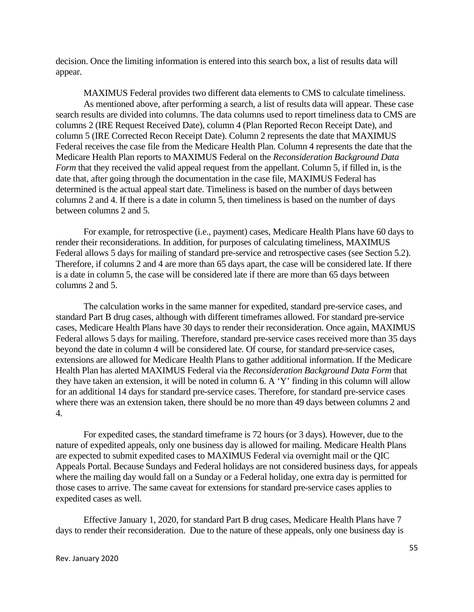decision. Once the limiting information is entered into this search box, a list of results data will appear.

MAXIMUS Federal provides two different data elements to CMS to calculate timeliness. As mentioned above, after performing a search, a list of results data will appear. These case search results are divided into columns. The data columns used to report timeliness data to CMS are columns 2 (IRE Request Received Date), column 4 (Plan Reported Recon Receipt Date), and column 5 (IRE Corrected Recon Receipt Date). Column 2 represents the date that MAXIMUS Federal receives the case file from the Medicare Health Plan. Column 4 represents the date that the Medicare Health Plan reports to MAXIMUS Federal on the *Reconsideration Background Data Form* that they received the valid appeal request from the appellant. Column 5, if filled in, is the date that, after going through the documentation in the case file, MAXIMUS Federal has determined is the actual appeal start date. Timeliness is based on the number of days between columns 2 and 4. If there is a date in column 5, then timeliness is based on the number of days between columns 2 and 5.

For example, for retrospective (i.e., payment) cases, Medicare Health Plans have 60 days to render their reconsiderations. In addition, for purposes of calculating timeliness, MAXIMUS Federal allows 5 days for mailing of standard pre-service and retrospective cases (see Section 5.2). Therefore, if columns 2 and 4 are more than 65 days apart, the case will be considered late. If there is a date in column 5, the case will be considered late if there are more than 65 days between columns 2 and 5.

The calculation works in the same manner for expedited, standard pre-service cases, and standard Part B drug cases, although with different timeframes allowed. For standard pre-service cases, Medicare Health Plans have 30 days to render their reconsideration. Once again, MAXIMUS Federal allows 5 days for mailing. Therefore, standard pre-service cases received more than 35 days beyond the date in column 4 will be considered late. Of course, for standard pre-service cases, extensions are allowed for Medicare Health Plans to gather additional information. If the Medicare Health Plan has alerted MAXIMUS Federal via the *Reconsideration Background Data Form* that they have taken an extension, it will be noted in column 6. A 'Y' finding in this column will allow for an additional 14 days for standard pre-service cases. Therefore, for standard pre-service cases where there was an extension taken, there should be no more than 49 days between columns 2 and 4.

For expedited cases, the standard timeframe is 72 hours (or 3 days). However, due to the nature of expedited appeals, only one business day is allowed for mailing. Medicare Health Plans are expected to submit expedited cases to MAXIMUS Federal via overnight mail or the QIC Appeals Portal. Because Sundays and Federal holidays are not considered business days, for appeals where the mailing day would fall on a Sunday or a Federal holiday, one extra day is permitted for those cases to arrive. The same caveat for extensions for standard pre-service cases applies to expedited cases as well.

Effective January 1, 2020, for standard Part B drug cases, Medicare Health Plans have 7 days to render their reconsideration. Due to the nature of these appeals, only one business day is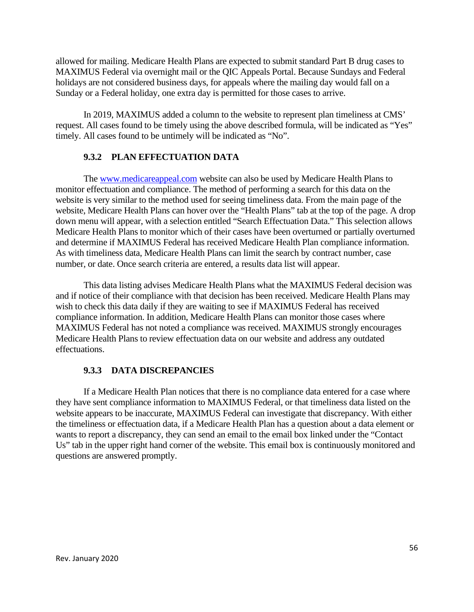allowed for mailing. Medicare Health Plans are expected to submit standard Part B drug cases to MAXIMUS Federal via overnight mail or the QIC Appeals Portal. Because Sundays and Federal holidays are not considered business days, for appeals where the mailing day would fall on a Sunday or a Federal holiday, one extra day is permitted for those cases to arrive.

In 2019, MAXIMUS added a column to the website to represent plan timeliness at CMS' request. All cases found to be timely using the above described formula, will be indicated as "Yes" timely. All cases found to be untimely will be indicated as "No".

#### **9.3.2 PLAN EFFECTUATION DATA**

The<www.medicareappeal.com> website can also be used by Medicare Health Plans to monitor effectuation and compliance. The method of performing a search for this data on the website is very similar to the method used for seeing timeliness data. From the main page of the website, Medicare Health Plans can hover over the "Health Plans" tab at the top of the page. A drop down menu will appear, with a selection entitled "Search Effectuation Data." This selection allows Medicare Health Plans to monitor which of their cases have been overturned or partially overturned and determine if MAXIMUS Federal has received Medicare Health Plan compliance information. As with timeliness data, Medicare Health Plans can limit the search by contract number, case number, or date. Once search criteria are entered, a results data list will appear.

This data listing advises Medicare Health Plans what the MAXIMUS Federal decision was and if notice of their compliance with that decision has been received. Medicare Health Plans may wish to check this data daily if they are waiting to see if MAXIMUS Federal has received compliance information. In addition, Medicare Health Plans can monitor those cases where MAXIMUS Federal has not noted a compliance was received. MAXIMUS strongly encourages Medicare Health Plans to review effectuation data on our website and address any outdated effectuations.

#### **9.3.3 DATA DISCREPANCIES**

If a Medicare Health Plan notices that there is no compliance data entered for a case where they have sent compliance information to MAXIMUS Federal, or that timeliness data listed on the website appears to be inaccurate, MAXIMUS Federal can investigate that discrepancy. With either the timeliness or effectuation data, if a Medicare Health Plan has a question about a data element or wants to report a discrepancy, they can send an email to the email box linked under the "Contact" Us" tab in the upper right hand corner of the website. This email box is continuously monitored and questions are answered promptly.